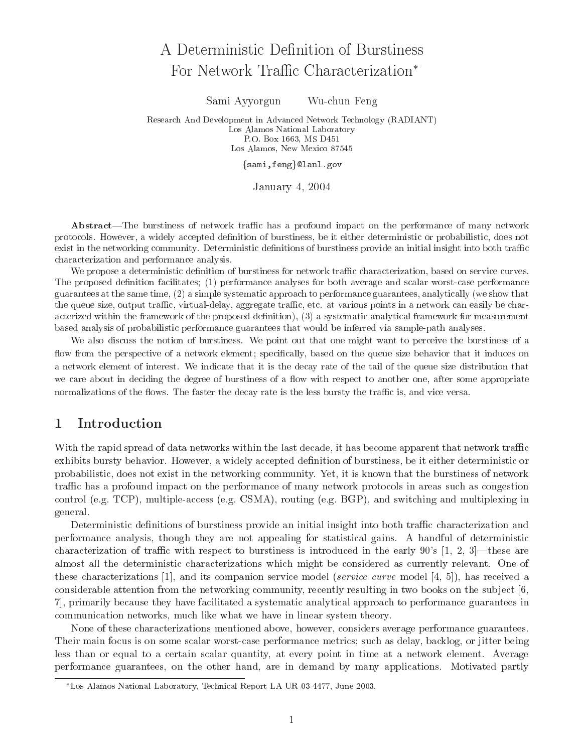# A Deterministic Definition of Burstiness For Network Traffic Characterization<sup>\*</sup>

Sami Ayyorgun Wu-chun Feng

Research And Development in Advanced Network Technology (RADIANT) Los Alamos National Laboratory P.O. Box 1663, MS D451 Los Alamos, New Mexico 87545

{sami,feng}@lanl.gov

January 4, 2004

Abstract—The burstiness of network traffic has a profound impact on the performance of many network protocols. However, a widely accepted denition of burstiness, be it either deterministic or probabilistic, does not exist in the networking community. Deterministic denitions of burstiness provide an initial insight into both trac characterization and performance analysis.

We propose a deterministic definition of burstiness for network traffic characterization, based on service curves. The proposed denition facilitates; (1) performance analyses for both average and scalar worst-case performance guarantees at the same time, (2) a simple systematic approach to performance guarantees, analytically (we show thatthe queue size, output trac, virtual-delay, aggregate trac, etc. at various points in a network can easily be characterized within the framework of the proposed definition), (3) a systematic analytical framework for measurement based analysis of probabilistic performance guarantees that would be inferred via sample-path analyses.

We also discuss the notion of burstiness. We point out that one might want to perceive the burstiness of <sup>a</sup> ow from the perspective of a network element; specically, based on the queue size behavior that it induces on a network element of interest. We indicate that it is the decay rate of the tail of the queue size distribution that we care about in deciding the degree of burstiness of a now with respect to another one, after some appropriate normalizations of the 
ows. The faster the decay rate is the less bursty the trac is, and vice versa.

### 1 **Introduction**

With the rapid spread of data networks within the last decade, it has become apparent that network traffic exhibits bursty behavior. However, a widely accepted definition of burstiness, be it either deterministic or probabilistic, does not exist in the networking community. Yet, it is known that the burstiness of network traffic has a profound impact on the performance of many network protocols in areas such as congestion control (e.g. TCP), multiple-access (e.g. CSMA), routing (e.g. BGP), and switching and multiplexing in general.

Deterministic definitions of burstiness provide an initial insight into both traffic characterization and performance analysis, though they are not appealing for statistical gains. A handful of deterministic characterization of traffic with respect to burstiness is introduced in the early  $90\degree$  [1, 2, 3]—these are almost all the deterministic characterizations which might be considered as currently relevant. One of these characterizations [1], and its companion service model (service curve model [4, 5]), has received a considerable attention from the networking community, recently resulting in two books on the subject [6, 7], primarily because they have facilitated a systematic analytical approach to performance guarantees in communication networks, much like what we have in linear system theory.

None of these characterizations mentioned above, however, considers average performance guarantees. Their main focus is on some scalar worst-case performance metrics; such as delay, backlog, or jitter being less than or equal to a certain scalar quantity, at every point in time at a network element. Average performance guarantees, on the other hand, are in demand by many applications. Motivated partly

Los Alamos National Laboratory, Technical Report LA-UR-03-4477, June 2003.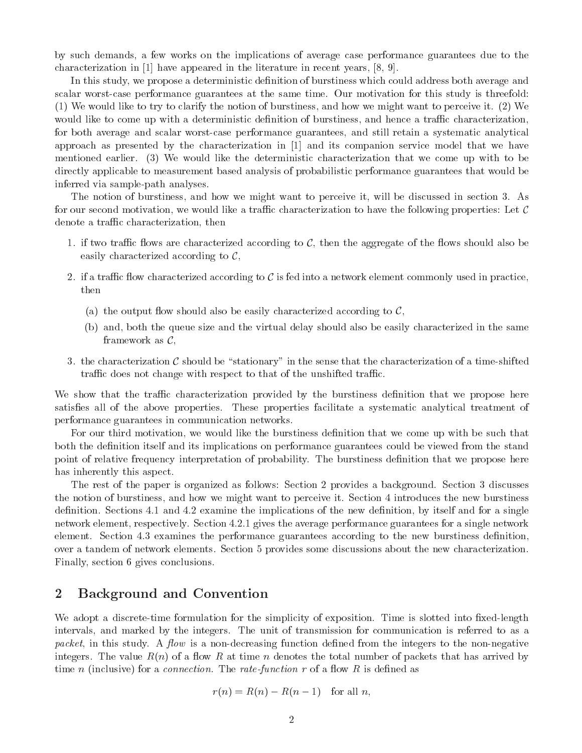by such demands, a few works on the implications of average case performance guarantees due to the characterization in [1] have appeared in the literature in recent years, [8, 9].

In this study, we propose a deterministic definition of burstiness which could address both average and scalar worst-case performance guarantees at the same time. Our motivation for this study is threefold: (1) We would like to try to clarify the notion of burstiness, and how we might want to perceive it. (2) We would like to come up with a deterministic definition of burstiness, and hence a traffic characterization, for both average and scalar worst-case performance guarantees, and still retain a systematic analytical approach as presented by the characterization in [1] and its companion service model that we have mentioned earlier. (3) We would like the deterministic characterization that we come up with to be directly applicable to measurement based analysis of probabilistic performance guarantees that would be inferred via sample-path analyses.

The notion of burstiness, and how we might want to perceive it, will be discussed in section 3. As for our second motivation, we would like a traffic characterization to have the following properties: Let  $\mathcal C$ denote a traffic characterization, then

- 1. if two traffic flows are characterized according to  $\mathcal{C}$ , then the aggregate of the flows should also be easily characterized according to  $\mathcal{C}$ ,
- 2. if a traffic flow characterized according to  $C$  is fed into a network element commonly used in practice, then
	- (a) the output flow should also be easily characterized according to  $\mathcal{C}$ ,
	- (b) and, both the queue size and the virtual delay should also be easily characterized in the same framework as  $C$ ,
- 3. the characterization  $\mathcal C$  should be "stationary" in the sense that the characterization of a time-shifted traffic does not change with respect to that of the unshifted traffic.

We show that the traffic characterization provided by the burstiness definition that we propose here satisfies all of the above properties. These properties facilitate a systematic analytical treatment of performance guarantees in communication networks.

For our third motivation, we would like the burstiness definition that we come up with be such that both the definition itself and its implications on performance guarantees could be viewed from the stand point of relative frequency interpretation of probability. The burstiness definition that we propose here has inherently this aspect.

The rest of the paper is organized as follows: Section 2 provides a background. Section 3 discusses the notion of burstiness, and how we might want to perceive it. Section 4 introduces the new burstiness definition. Sections 4.1 and 4.2 examine the implications of the new definition, by itself and for a single network element, respectively. Section 4.2.1 gives the average performance guarantees for a single network element. Section 4.3 examines the performance guarantees according to the new burstiness denition, over a tandem of network elements. Section 5 provides some discussions about the new characterization. Finally, section 6 gives conclusions.

### $\overline{2}$ 2 Background and Convention

We adopt a discrete-time formulation for the simplicity of exposition. Time is slotted into fixed-length intervals, and marked by the integers. The unit of transmission for communication is referred to as a packet, in this study. A *flow* is a non-decreasing function defined from the integers to the non-negative integers. The value  $R(n)$  of a flow R at time n denotes the total number of packets that has arrived by time n (inclusive) for a *connection*. The rate-function r of a flow R is defined as

$$
r(n) = R(n) - R(n-1) \quad \text{for all } n,
$$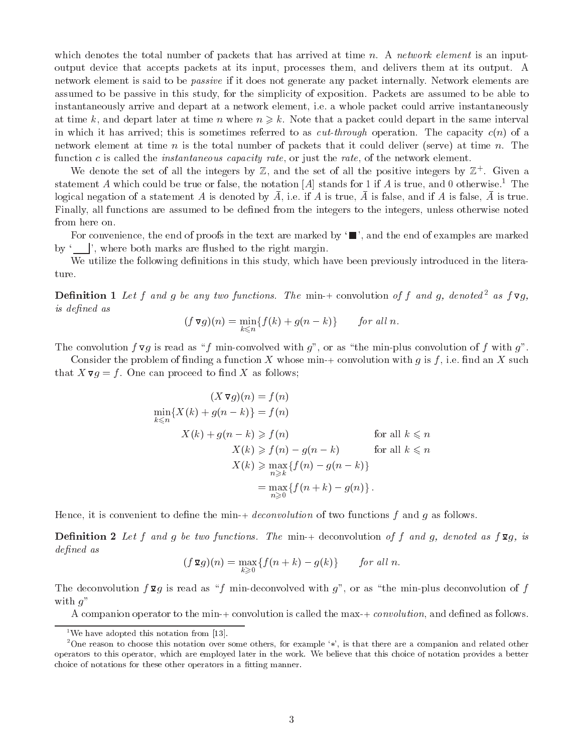which denotes the total number of packets that has arrived at time n. A network element is an inputoutput device that accepts packets at its input, processes them, and delivers them at its output. A network element is said to be passive if it does not generate any packet internally. Network elements are assumed to be passive in this study, for the simplicity of exposition. Packets are assumed to be able to instantaneously arrive and depart at a network element, i.e. a whole packet could arrive instantaneously at time k, and depart later at time n where  $n \geq k$ . Note that a packet could depart in the same interval in which it has arrived; this is sometimes referred to as  $cut-through$  operation. The capacity  $c(n)$  of a network element at time n is the total number of packets that it could deliver (serve) at time n. The function c is called the *instantaneous capacity rate*, or just the *rate*, of the network element.

We denote the set of all the integers by  $\mathbb Z$ , and the set of all the positive integers by  $\mathbb Z$ +. Given a statement A which could be true or false, the notation [A] stands for 1 if A is true, and 0 otherwise.<sup>1</sup> The rogical negation of a statement A is denoted by A, i.e. if A is true, A is false, and if A is false, A is true. Finally, all functions are assumed to be defined from the integers to the integers, unless otherwise noted from here on.

For convenience, the end of proofs in the text are marked by  $\blacksquare$ , and the end of examples are marked by  $\langle \cdot \cdot \cdot \rangle$ , where both marks are flushed to the right margin.

We utilize the following definitions in this study, which have been previously introduced in the literature.

**Definition 1** Let f and g be any two functions. The min-+ convolution of f and g, denoted<sup>2</sup> as  $f \nabla g$ , is defined as

$$
(f\,\nabla g)(n) = \min_{k\leq n} \{f(k) + g(n-k)\} \qquad \text{for all } n.
$$

The convolution  $f \nabla g$  is read as "f min-convolved with g", or as "the min-plus convolution of f with g".

Consider the problem of finding a function X whose min-+ convolution with  $g$  is  $f$ , i.e. find an X such that  $X \nabla g = f$ . One can proceed to find X as follows;

$$
(X \triangleright g)(n) = f(n)
$$
  
\n
$$
\min_{k \le n} \{ X(k) + g(n-k) \} = f(n)
$$
  
\n
$$
X(k) + g(n-k) \ge f(n)
$$
 for all  $k \le n$   
\n
$$
X(k) \ge f(n) - g(n-k)
$$
 for all  $k \le n$   
\n
$$
X(k) \ge \max_{n \ge k} \{ f(n) - g(n-k) \}
$$
  
\n
$$
= \max_{n \ge 0} \{ f(n+k) - g(n) \}.
$$

Hence, it is convenient to define the min-+ *deconvolution* of two functions  $f$  and  $g$  as follows.

**Definition 2** Let f and g be two functions. The min-+ deconvolution of f and g, denoted as  $f \mathbf{q}_g$ , is defined as

$$
(f\,\mathbf{\Sigma}g)(n)=\max_{k\geqslant 0}\{f(n+k)-g(k)\}\qquad \text{for all }n.
$$

The deconvolution  $f \mathbf{\Sigma} g$  is read as "f min-deconvolved with g", or as "the min-plus deconvolution of f with  $q$ "

A companion operator to the min-+ convolution is called the max-+ *convolution*, and defined as follows.

<sup>&</sup>lt;sup>1</sup>We have adopted this notation from [13].

<sup>&</sup>lt;sup>2</sup>One reason to choose this notation over some others, for example  $\langle \cdot, \cdot \rangle$ , is that there are a companion and related other operators to this operator, which are employed later in the work. We believe that this choice of notation provides a better choice of notations for these other operators in a fitting manner.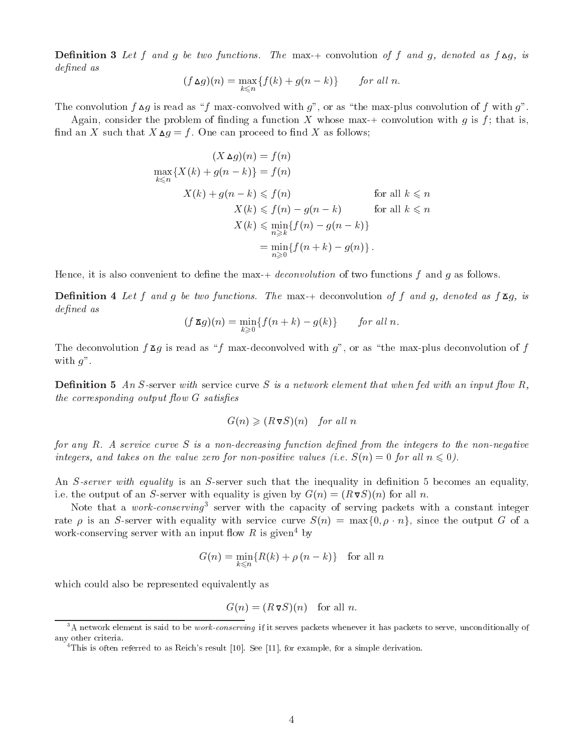**Definition 3** Let f and g be two functions. The max-+ convolution of f and g, denoted as  $f \Delta g$ , is defined as

$$
(f \Delta g)(n) = \max_{k \leq n} \{ f(k) + g(n-k) \} \quad \text{for all } n.
$$

The convolution  $f \Delta g$  is read as "f max-convolved with g", or as "the max-plus convolution of f with g".

Again, consider the problem of finding a function X whose max-+ convolution with g is f; that is, find an X such that  $X \triangle g = f$ . One can proceed to find X as follows;

$$
(X \Delta g)(n) = f(n)
$$
  
\n
$$
\max_{k \le n} \{ X(k) + g(n-k) \} = f(n)
$$
  
\n
$$
X(k) + g(n-k) \le f(n)
$$
 for all  $k \le n$   
\n
$$
X(k) \le f(n) - g(n-k)
$$
 for all  $k \le n$   
\n
$$
X(k) \le \min_{n \ge k} \{ f(n) - g(n-k) \}
$$
  
\n
$$
= \min_{n \ge 0} \{ f(n+k) - g(n) \}.
$$

Hence, it is also convenient to define the max-+ *deconvolution* of two functions  $f$  and  $q$  as follows.

**Definition 4** Let f and g be two functions. The max-+ deconvolution of f and g, denoted as  $f \overline{A}g$ , is defined as

$$
(f\,\mathbf{z}\,g)(n)=\min_{k\geq 0}\{f(n+k)-g(k)\}\qquad \text{for all }n.
$$

The deconvolution  $f \Sigma g$  is read as "f max-deconvolved with g", or as "the max-plus deconvolution of f with  $g$ ".

**Definition 5** An S-server with service curve S is a network element that when fed with an input flow R, the corresponding output flow  $G$  satisfies

$$
G(n) \geqslant (R \triangledown S)(n) \quad \text{for all } n
$$

for any  $R$ . A service curve  $S$  is a non-decreasing function defined from the integers to the non-negative integers, and takes on the value zero for non-positive values (i.e.  $S(n)=0$  for all  $n \leq 0$ ).

An S-server with equality is an S-server such that the inequality in definition 5 becomes an equality, i.e. the output of an S-server with equality is given by  $G(n)=(R\nabla S)(n)$  for all n.

Note that a work-conserving<sup>3</sup> server with the capacity of serving packets with a constant integer rate  $\rho$  is an S-server with equality with service curve  $S(n) = \max\{0, \rho \cdot n\}$ , since the output G of a work-conserving server with an input flow R is given<sup>4</sup> by

$$
G(n) = \min_{k < n} \{ R(k) + \rho(n - k) \} \quad \text{for all } n
$$

which could also be represented equivalently as

$$
G(n) = (R \triangledown S)(n) \quad \text{for all } n.
$$

 $3A$  network element is said to be *work-conserving* if it serves packets whenever it has packets to serve, unconditionally of any other criteria.

<sup>&</sup>lt;sup>4</sup>This is often referred to as Reich's result [10]. See [11], for example, for a simple derivation.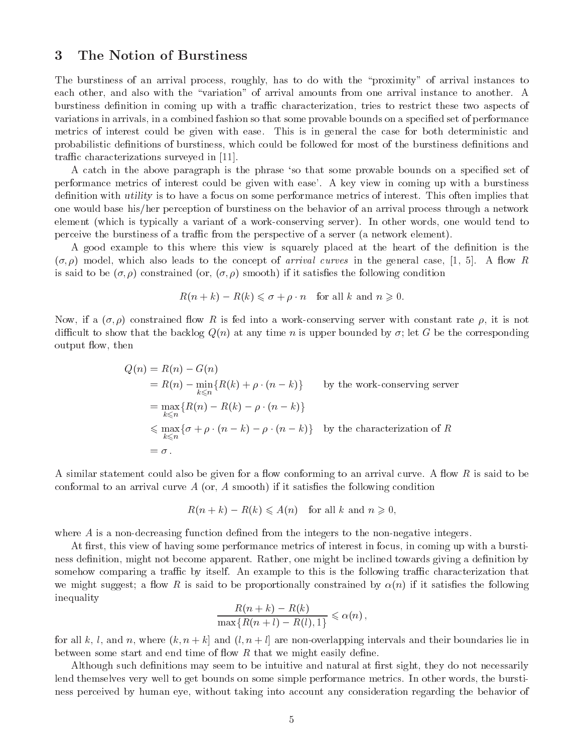### 3 The Notion of Burstiness

The burstiness of an arrival process, roughly, has to do with the \proximity" of arrival instances to each other, and also with the "variation" of arrival amounts from one arrival instance to another. A burstiness definition in coming up with a traffic characterization, tries to restrict these two aspects of variations in arrivals, in a combined fashion so that some provable bounds on a specified set of performance metrics of interest could be given with ease. This is in general the case for both deterministic and probabilistic definitions of burstiness, which could be followed for most of the burstiness definitions and traffic characterizations surveyed in [11].

A catch in the above paragraph is the phrase 'so that some provable bounds on a specified set of performance metrics of interest could be given with ease'. A key view incoming up with a burstiness definition with *utility* is to have a focus on some performance metrics of interest. This often implies that one would base his/her perception of burstiness on the behavior of an arrival process through a network element (which is typically a variant of a work-conserving server). In other words, one would tend to perceive the burstiness of a traffic from the perspective of a server (a network element).

A good example to this where this view is squarely placed at the heart of the definition is the  $(\sigma, \rho)$  model, which also leads to the concept of *arrival curves* in the general case, [1, 5]. A flow R is said to be  $(\sigma, \rho)$  constrained (or,  $(\sigma, \rho)$  smooth) if it satisfies the following condition

$$
R(n+k) - R(k) \leq \sigma + \rho \cdot n
$$
 for all k and  $n \geq 0$ .

Now, if a  $(\sigma, \rho)$  constrained flow R is fed into a work-conserving server with constant rate  $\rho$ , it is not difficult to show that the backlog  $Q(n)$  at any time n is upper bounded by  $\sigma$ ; let G be the corresponding output 
ow, then

$$
Q(n) = R(n) - G(n)
$$
  
=  $R(n) - \min_{k \le n} \{R(k) + \rho \cdot (n - k)\}$  by the work-conserving server  
=  $\max_{k \le n} \{R(n) - R(k) - \rho \cdot (n - k)\}$   
 $\le \max_{k \le n} \{\sigma + \rho \cdot (n - k) - \rho \cdot (n - k)\}$  by the characterization of  $R$   
=  $\sigma$ .

A similar statement could also be given for a flow conforming to an arrival curve. A flow R is said to be conformal to an arrival curve  $A$  (or,  $A$  smooth) if it satisfies the following condition

$$
R(n+k) - R(k) \leqslant A(n) \quad \text{for all } k \text{ and } n \geqslant 0,
$$

where  $A$  is a non-decreasing function defined from the integers to the non-negative integers.

At first, this view of having some performance metrics of interest in focus, in coming up with a burstiness definition, might not become apparent. Rather, one might be inclined towards giving a definition by somehow comparing a traffic by itself. An example to this is the following traffic characterization that we might suggest; a flow R is said to be proportionally constrained by  $\alpha(n)$  if it satisfies the following inequality

$$
\frac{R(n+k) - R(k)}{\max\{R(n+l) - R(l), 1\}} \leqslant \alpha(n),
$$

for all k, l, and n, where  $(k, n + k]$  and  $(l, n + l]$  are non-overlapping intervals and their boundaries lie in between some start and end time of flow  $R$  that we might easily define.

Although such definitions may seem to be intuitive and natural at first sight, they do not necessarily lend themselves very well to get bounds on some simple performance metrics. In other words, the burstiness perceived by human eye, without taking into account any consideration regarding the behavior of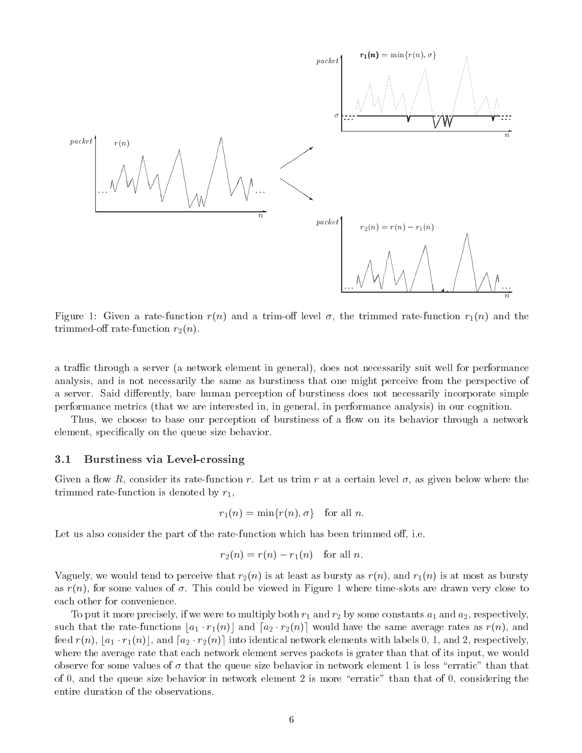

Figure 1: Given a rate-function  $r(n)$  and a trim-off level  $\sigma$ , the trimmed rate-function  $r_1(n)$  and the trimmed-off rate-function  $r_2(n)$ .

a traffic through a server (a network element in general), does not necessarily suit well for performance analysis, and is not necessarily the same as burstiness that one might perceive from the perspective of a server. Said differently, bare human perception of burstiness does not necessarily incorporate simple performance metrics (that we are interested in, in general, in performance analysis) in our cognition.

Thus, we choose to base our perception of burstiness of a flow on its behavior through a network element, specically on the queue size behavior.

### 3.1 Burstiness via Level-crossing

Given a flow R, consider its rate-function r. Let us trim r at a certain level  $\sigma$ , as given below where the trimmed rate-function is denoted by  $r_1$ ,

$$
r_1(n) = \min\{r(n), \sigma\} \quad \text{for all } n.
$$

Let us also consider the part of the rate-function which has been trimmed off, i.e.

$$
r_2(n) = r(n) - r_1(n) \quad \text{for all } n.
$$

Vaguely, we would tend to perceive that  $r_2(n)$  is at least as bursty as  $r(n)$ , and  $r_1(n)$  is at most as bursty as  $r(n)$ , for some values of  $\sigma$ . This could be viewed in Figure 1 where time-slots are drawn very close to each other for convenience.

To put it more precisely, if we were to multiply both  $r_1$  and  $r_2$  by some constants  $a_1$  and  $a_2$ , respectively, such that the rate-functions  $[a_1 \cdot r_1(n)]$  and  $[a_2 \cdot r_2(n)]$  would have the same average rates as  $r(n)$ , and feed  $r(n)$ ,  $|a_1 \cdot r_1(n)|$ , and  $[a_2 \cdot r_2(n)]$  into identical network elements with labels 0, 1, and 2, respectively, where the average rate that each network element serves packets is grater than that of its input, we would observe for some values of  $\sigma$  that the queue size behavior in network element 1 is less "erratic" than that of 0, and the queue size behavior in network element 2 is more \erratic" than that of 0, considering the entire duration of the observations.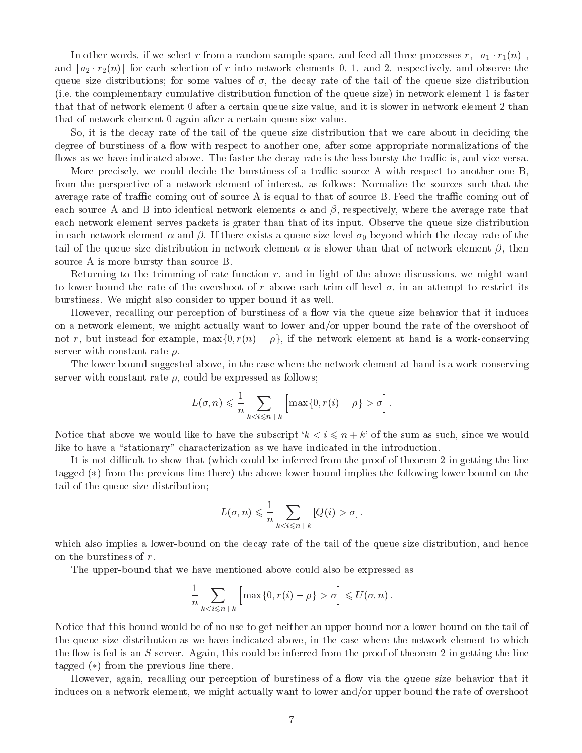In other words, if we select r from a random sample space, and feed all three processes r,  $|a_1 \cdot r_1(n)|$ , and <sup>d</sup>a2 r2(n)e for each selection of <sup>r</sup> into network elements 0, 1, and 2, respectively, and observe the queue size distributions; for some values of  $\sigma$ , the decay rate of the tail of the queue size distribution (i.e. the complementary cumulative distribution function of the queue size) in network element 1 is faster that that of network element 0 after a certain queue size value, and it is slower in network element 2 than that of network element 0 again after a certain queue size value.

So, it is the decay rate of the tail of the queue size distribution that we care about in deciding the degree of burstiness of a flow with respect to another one, after some appropriate normalizations of the flows as we have indicated above. The faster the decay rate is the less bursty the traffic is, and vice versa.

More precisely, we could decide the burstiness of a traffic source A with respect to another one B, from the perspective of a network element of interest, as follows: Normalize the sources such that the average rate of traffic coming out of source A is equal to that of source B. Feed the traffic coming out of each source A and B into identical network elements  $\alpha$  and  $\beta$ , respectively, where the average rate that each network element serves packets is grater than that of its input. Observe the queue size distribution in each network element  $\alpha$  and  $\beta$ . If there exists a queue size level  $\sigma_0$  beyond which the decay rate of the tail of the queue size distribution in network element  $\alpha$  is slower than that of network element  $\beta$ , then source A is more bursty than source B.

Returning to the trimming of rate-function  $r$ , and in light of the above discussions, we might want to lower bound the rate of the overshoot of r above each trim-off level  $\sigma$ , in an attempt to restrict its burstiness. We might also consider to upper bound it as well.

However, recalling our perception of burstiness of a flow via the queue size behavior that it induces on a network element, we might actually want to lower and/or upper bound the rate of the overshoot of not r, but instead for example,  $\max\{0, r(n) - \rho\}$ , if the network element at hand is a work-conserving server with constant rate  $\rho$ .

The lower-bound suggested above, in the case where the network element at hand is a work-conserving server with constant rate  $\rho$ , could be expressed as follows;

$$
L(\sigma, n) \leq \frac{1}{n} \sum_{k < i \leq n+k} \left[ \max\{0, r(i) - \rho\} > \sigma \right].
$$

Notice that above we would like to have the subscript  $k < i \leq n + k'$  of the sum as such, since we would like to have a "stationary" characterization as we have indicated in the introduction.

It is not difficult to show that (which could be inferred from the proof of theorem 2 in getting the line tagged (\*) from the previous line there) the above lower-bound implies the following lower-bound on the tail of the queue size distribution;

$$
L(\sigma, n) \leq \frac{1}{n} \sum_{k < i \leq n+k} [Q(i) > \sigma].
$$

which also implies a lower-bound on the decay rate of the tail of the queue size distribution, and hence on the burstiness of r.

The upper-bound that we have mentioned above could also be expressed as

$$
\frac{1}{n}\sum_{k\sigma\right]\leqslant="" u(\sigma,n)\,.<="">
$$

Notice that this bound would be of no use to get neither an upper-bound nor a lower-bound on the tail of the queue size distribution as we have indicated above, in the case where the network element to which the flow is fed is an  $S$ -server. Again, this could be inferred from the proof of theorem 2 in getting the line tagged  $(*)$  from the previous line there.

However, again, recalling our perception of burstiness of a flow via the queue size behavior that it induces on a network element, we might actually want to lower and/or upper bound the rate of overshoot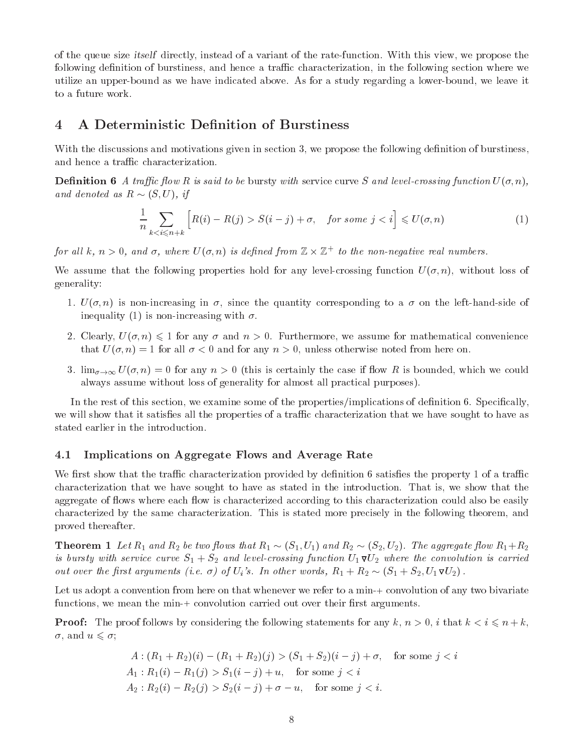of the queue size itself directly, instead of a variant of the rate-function. With this view, we propose the following definition of burstiness, and hence a traffic characterization, in the following section where we utilize an upper-bound as we have indicated above. As for a study regarding a lower-bound, we leave it to a future work.

# 4 A Deterministic Definition of Burstiness

With the discussions and motivations given in section 3, we propose the following definition of burstiness, and hence a traffic characterization.

**Definition 6** A traffic flow R is said to be bursty with service curve S and level-crossing function  $U(\sigma, n)$ , and denote a R  $(1)$  if  $\alpha$  (S), if  $\alpha$  if  $\alpha$  (S), if  $\alpha$ 

$$
\frac{1}{n} \sum_{k < i \le n+k} \left[ R(i) - R(j) > S(i-j) + \sigma, \quad \text{for some } j < i \right] \le U(\sigma, n) \tag{1}
$$

for an  $\kappa,\ n>0,\$  and  $\sigma,\$  where  $U(\sigma,n)$  is defined from  $\Bbb Z\times\Bbb Z^+$  to the non-negative real numbers.

We assume that the following properties hold for any level-crossing function  $U(\sigma, n)$ , without loss of generality:

- 1.  $U(\sigma, n)$  is non-increasing in  $\sigma$ , since the quantity corresponding to a  $\sigma$  on the left-hand-side of inequality (1) is non-increasing with  $\sigma$ .
- 2. Clearly,  $U(\sigma, n) \leq 1$  for any  $\sigma$  and  $n > 0$ . Furthermore, we assume for mathematical convenience that  $U(\sigma, n) = 1$  for all  $\sigma < 0$  and for any  $n > 0$ , unless otherwise noted from here on.
- 3.  $\lim_{\sigma\to\infty} U(\sigma, n)=0$  for any  $n>0$  (this is certainly the case if flow R is bounded, which we could always assume without loss of generality for almost all practical purposes).

In the rest of this section, we examine some of the properties/implications of definition 6. Specifically, we will show that it satisfies all the properties of a traffic characterization that we have sought to have as stated earlier in the introduction.

# 4.1 Implications on Aggregate Flows and Average Rate

We first show that the traffic characterization provided by definition 6 satisfies the property 1 of a traffic characterization that we have sought to have as stated in the introduction. That is, we show that the aggregate of flows where each flow is characterized according to this characterization could also be easily characterized by the same characterization. This is stated more precisely in the following theorem, and proved thereafter.

**Theorem 1** Let  $R_1$  and  $R_2$  be two flows that  $R_1 \sim (S_1, U_1)$  and  $R_2 \sim (S_2, U_2)$ . The aggregate flow  $R_1 + R_2$ is bursty with service curve  $S_1 + S_2$  and level-crossing function  $U_1 \nabla U_2$  where the convolution is carried out over the first arguments (i.e.  $\sigma$ ) of  $U_i$ 's. In other words,  $R_1 + R_2 \sim (S_1 + S_2, U_1 \nabla U_2)$ .

Let us adopt a convention from here on that whenever we refer to a min-+ convolution of any two bivariate functions, we mean the min-+ convolution carried out over their first arguments.

**Proof:** The proof follows by considering the following statements for any k,  $n > 0$ , i that  $k < i \leq n + k$ ,  $\sigma$ , and  $u \leqslant \sigma$ ;

$$
A: (R_1 + R_2)(i) - (R_1 + R_2)(j) > (S_1 + S_2)(i - j) + \sigma, \quad \text{for some } j < i
$$
\n
$$
A_1: R_1(i) - R_1(j) > S_1(i - j) + u, \quad \text{for some } j < i
$$
\n
$$
A_2: R_2(i) - R_2(j) > S_2(i - j) + \sigma - u, \quad \text{for some } j < i.
$$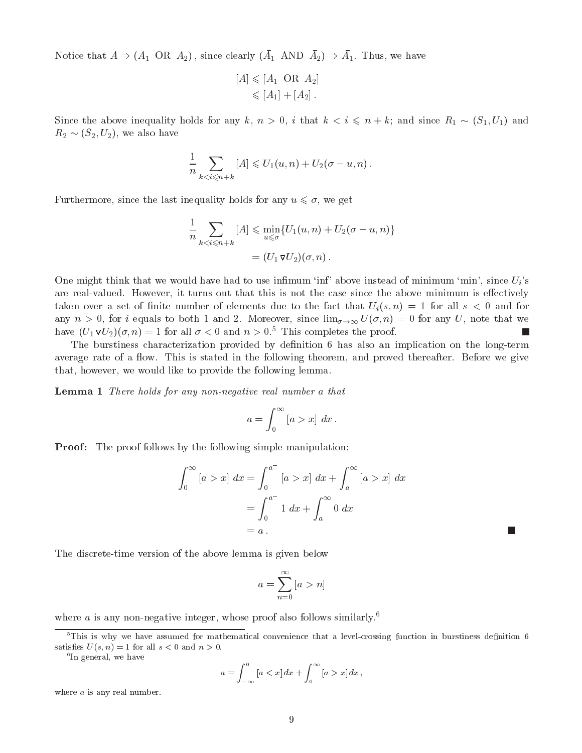Notice that  $A \to (A_1 \cup A_2)$ , since clearly  $\{A_1 \cup A_1 \cup A_2\} \to A_1$ . Thus, we have

$$
[A] \leqslant [A_1 \text{ OR } A_2]
$$
  

$$
\leqslant [A_1] + [A_2].
$$

Since the above inequality holds for any k,  $n > 0$ , i that  $k < i \leq n + k$ ; and since  $R_1 \sim (S_1, U_1)$  and  $R_2 \sim (S_2, U_2)$ , we also have

$$
\frac{1}{n}\sum_{k
$$

Furthermore, since the last inequality holds for any  $u \leq \sigma$ , we get

$$
\frac{1}{n} \sum_{k < i \leqslant n+k} [A] \leqslant \min_{u \leqslant \sigma} \{U_1(u, n) + U_2(\sigma - u, n)\}
$$
\n
$$
= (U_1 \triangledown U_2)(\sigma, n).
$$

One might think that we would have had to use infimum 'inf' above instead of minimum 'min', since  $U_i$ 's are real-valued. However, it turns out that this is not the case since the above minimum is effectively taken over a set of finite number of elements due to the fact that  $U_i(s,n) = 1$  for all  $s < 0$  and for any  $n > 0$ , for i equals to both 1 and 2. Moreover, since  $\lim_{\sigma\to\infty} U(\sigma, n) = 0$  for any U, note that we have  $(U_1 \nabla U_2)(\sigma, n) = 1$  for all  $\sigma < 0$  and  $n > 0.5$  This completes the proof. L.

The burstiness characterization provided by definition 6 has also an implication on the long-term average rate of a flow. This is stated in the following theorem, and proved thereafter. Before we give that, however, we would like to provide the following lemma.

Lemma 1 There holds for any non-negative real number a that

$$
a = \int_0^\infty [a > x] dx.
$$

**Proof:** The proof follows by the following simple manipulation;

$$
\int_0^{\infty} [a > x] dx = \int_0^{a^-} [a > x] dx + \int_a^{\infty} [a > x] dx
$$
  
= 
$$
\int_0^{a^-} 1 dx + \int_a^{\infty} 0 dx
$$
  
= a.

L.

The discrete-time version of the above lemma is given below

$$
a = \sum_{n=0}^{\infty} [a > n]
$$

where  $a$  is any non-negative integer, whose proof also follows similarly.<sup>6</sup>

<sup>6</sup> In general, we have

$$
a = \int_{-\infty}^{0} \left[ a < x \right] dx + \int_{0}^{\infty} \left[ a > x \right] dx \, ,
$$

where *a* is any real number.

 $5$ This is why we have assumed for mathematical convenience that a level-crossing function in burstiness definition 6 satisfies  $U(s, n) = 1$  for all  $s < 0$  and  $n > 0$ .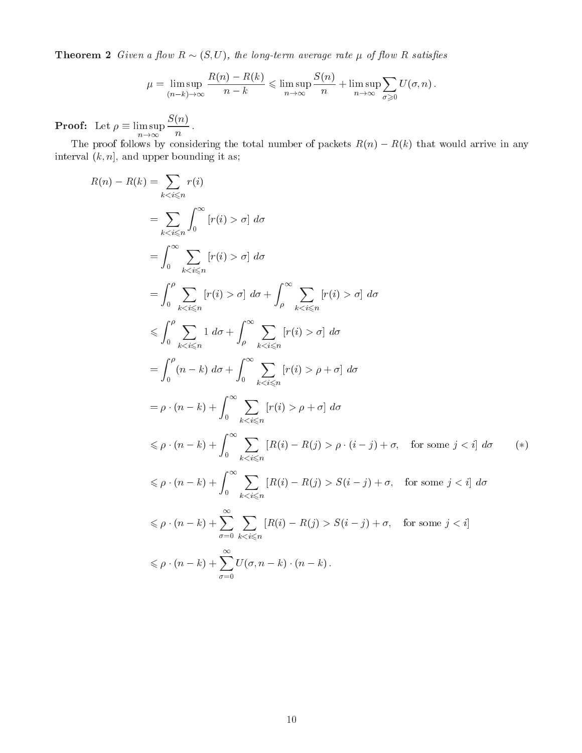**Theorem 2** Given a flow  $R \sim (S, U)$ , the long-term average rate  $\mu$  of flow R satisfies

$$
\mu = \limsup_{(n-k)\to\infty} \frac{R(n) - R(k)}{n-k} \leqslant \limsup_{n\to\infty} \frac{S(n)}{n} + \limsup_{n\to\infty} \sum_{\sigma \geqslant 0} U(\sigma, n) .
$$

Proof: Let  $\mathcal{L}$  is a support of the support of the support of the support of the support of the support of the support of the support of the support of the support of the support of the support of the support of the su n!1  $\sim$  s(  $\sim$  s) and  $\sim$  s(  $\sim$  s) and  $\sim$  s(  $\sim$  s) and  $\sim$  s(  $\sim$  s) and  $\sim$  s(  $\sim$  s) and  $\sim$  s(  $\sim$  s) and  $\sim$  s(  $\sim$  s) and  $\sim$  s(  $\sim$  s) and  $\sim$  s(  $\sim$  s) and  $\sim$  s(  $\sim$  s) and  $\sim$  s(  $\sim$  s) and  $\mathfrak n$ 

The proof follows by considering the total number of packets R(n) R(k) that would arrive in any interval  $(k, n]$ , and upper bounding it as;

$$
R(n) - R(k) = \sum_{k < i \leq n} r(i)
$$
\n
$$
= \sum_{k < i \leq n} \int_{0}^{\infty} [r(i) > \sigma] \, d\sigma
$$
\n
$$
= \int_{0}^{\infty} \sum_{k < i \leq n} [r(i) > \sigma] \, d\sigma
$$
\n
$$
= \int_{0}^{\rho} \sum_{k < i \leq n} [r(i) > \sigma] \, d\sigma + \int_{\rho}^{\infty} \sum_{k < i \leq n} [r(i) > \sigma] \, d\sigma
$$
\n
$$
\leq \int_{0}^{\rho} \sum_{k < i \leq n} 1 \, d\sigma + \int_{\rho}^{\infty} \sum_{k < i \leq n} [r(i) > \sigma] \, d\sigma
$$
\n
$$
= \int_{0}^{\rho} (n - k) \, d\sigma + \int_{0}^{\infty} \sum_{k < i \leq n} [r(i) > \rho + \sigma] \, d\sigma
$$
\n
$$
= \rho \cdot (n - k) + \int_{0}^{\infty} \sum_{k < i \leq n} [r(i) > \rho + \sigma] \, d\sigma
$$
\n
$$
\leq \rho \cdot (n - k) + \int_{0}^{\infty} \sum_{k < i \leq n} [R(i) - R(j) > \rho \cdot (i - j) + \sigma, \quad \text{for some } j < i] \, d\sigma
$$
\n
$$
\leq \rho \cdot (n - k) + \int_{0}^{\infty} \sum_{k < i \leq n} [R(i) - R(j) > S(i - j) + \sigma, \quad \text{for some } j < i] \, d\sigma
$$
\n
$$
\leq \rho \cdot (n - k) + \sum_{\sigma=0}^{\infty} \sum_{k < i \leq n} [R(i) - R(j) > S(i - j) + \sigma, \quad \text{for some } j < i]
$$
\n
$$
\leq \rho \cdot (n - k) + \sum_{\sigma=0}^{\infty} U(\sigma, n - k) \cdot (n - k).
$$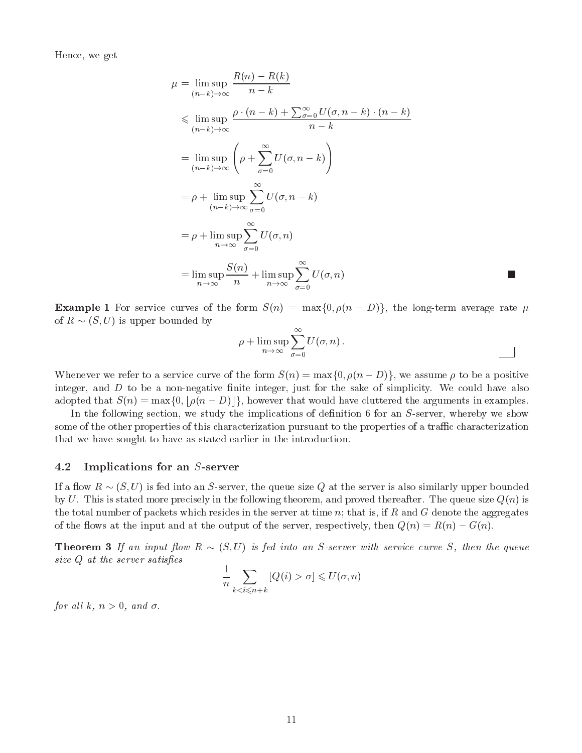Hence, we get

$$
\mu = \limsup_{(n-k)\to\infty} \frac{R(n) - R(k)}{n - k}
$$
\n
$$
\leqslant \limsup_{(n-k)\to\infty} \frac{\rho \cdot (n - k) + \sum_{\sigma=0}^{\infty} U(\sigma, n - k) \cdot (n - k)}{n - k}
$$
\n
$$
= \limsup_{(n-k)\to\infty} \left( \rho + \sum_{\sigma=0}^{\infty} U(\sigma, n - k) \right)
$$
\n
$$
= \rho + \limsup_{(n-k)\to\infty} \sum_{\sigma=0}^{\infty} U(\sigma, n - k)
$$
\n
$$
= \rho + \limsup_{n \to \infty} \sum_{\sigma=0}^{\infty} U(\sigma, n)
$$
\n
$$
= \limsup_{n \to \infty} \frac{S(n)}{n} + \limsup_{n \to \infty} \sum_{\sigma=0}^{\infty} U(\sigma, n)
$$

**Example 1** For service curves of the form  $S(n) = \max\{0, \rho(n - D)\}\$ , the long-term average rate  $\mu$ of a resource  $\mathcal{S}$  , we are property by the second best for  $\mathcal{S}$ 

$$
\rho + \limsup_{n \to \infty} \sum_{\sigma=0}^{\infty} U(\sigma, n).
$$

Whenever we refer to a service curve of the form  $S(n) = \max\{0, \rho(n - D)\}\,$ , we assume  $\rho$  to be a positive integer, and  $D$  to be a non-negative finite integer, just for the sake of simplicity. We could have also adopted that  $S(n) = \max\{0, \lfloor \rho(n - D) \rfloor\}$ , however that would have cluttered the arguments in examples.

In the following section, we study the implications of definition 6 for an S-server, whereby we show some of the other properties of this characterization pursuant to the properties of a traffic characterization that we have sought to have as stated earlier in the introduction.

# 4.2 Implications for an S-server

If a flow  $R \sim (S, U)$  is fed into an S-server, the queue size Q at the server is also similarly upper bounded by U. This is stated more precisely in the following theorem, and proved thereafter. The queue size  $Q(n)$  is the total number of packets which resides in the server at time  $n$ ; that is, if  $R$  and  $G$  denote the aggregates of the flows at the input and at the output of the server, respectively, then  $Q(n) = R(n) - G(n)$ .

ow R (S; U) is fed in put the server with server with service curve S, then the queue S, then the queue S, then the queue S, then the queue S, then the queue S, then the queue S, then the queue S, then the queue S, then t  $size\ Q$  at the server satisfies

$$
\frac{1}{n} \sum_{k < i \le n+k} [Q(i) > \sigma] \le U(\sigma, n)
$$

for all k,  $n > 0$ , and  $\sigma$ .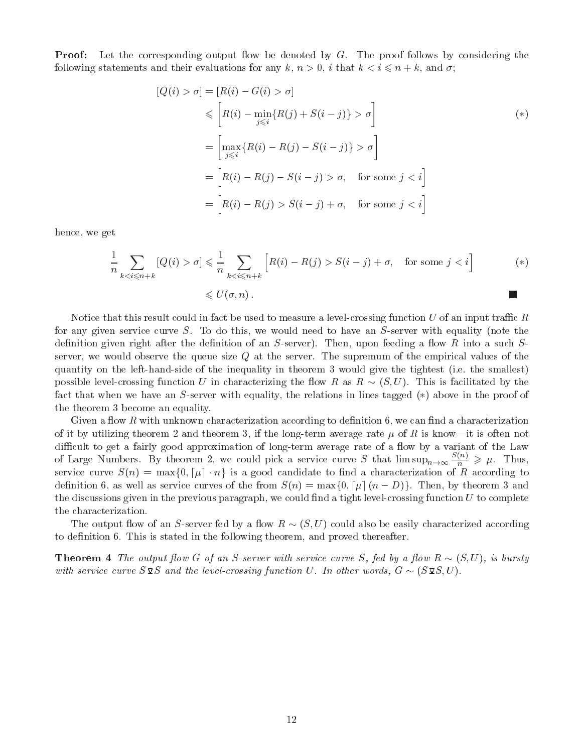**Proof:** Let the corresponding output flow be denoted by  $G$ . The proof follows by considering the following statements and their evaluations for any k,  $n > 0$ , i that  $k < i \leq n + k$ , and  $\sigma$ ;

$$
[Q(i) > \sigma] = [R(i) - G(i) > \sigma]
$$
  
\n
$$
\leq [R(i) - \min_{j \leq i} \{R(j) + S(i - j)\} > \sigma]
$$
  
\n
$$
= \left[\max_{j \leq i} \{R(i) - R(j) - S(i - j)\} > \sigma\right]
$$
  
\n
$$
= [R(i) - R(j) - S(i - j) > \sigma, \text{ for some } j < i]
$$
  
\n
$$
= [R(i) - R(j) > S(i - j) + \sigma, \text{ for some } j < i]
$$

hence, we get

$$
\frac{1}{n} \sum_{k < i \le n+k} \left[ Q(i) > \sigma \right] \leq \frac{1}{n} \sum_{k < i \le n+k} \left[ R(i) - R(j) > S(i-j) + \sigma, \quad \text{for some } j < i \right] \tag{*}
$$
\n
$$
\leq U(\sigma, n).
$$

Notice that this result could in fact be used to measure a level-crossing function  $U$  of an input traffic  $R$ for any given service curve S. To do this, we would need to have an  $S$ -server with equality (note the definition given right after the definition of an  $S$ -server). Then, upon feeding a flow R into a such  $S$ server, we would observe the queue size  $Q$  at the server. The supremum of the empirical values of the quantity on the left-hand-side of the inequality in theorem 3 would give the tightest (i.e. the smallest) possible level-crossing function U in characterizing the flow R as  $R \sim (S, U)$ . This is facilitated by the fact that when we have an  $S$ -server with equality, the relations in lines tagged  $(*)$  above in the proof of the theorem 3 become an equality.

Given a flow R with unknown characterization according to definition 6, we can find a characterization of it by utilizing theorem 2 and theorem 3, if the long-term average rate  $\mu$  of R is know-it is often not difficult to get a fairly good approximation of long-term average rate of a flow by a variant of the Law of Large Numbers. By theorem 2, we could pick a service curve S that  $\limsup_{n\to\infty} \frac{1}{n} \geq \mu$ . Thus, service curve  $S(n) = \max\{0, \lceil \mu \rceil : n\}$  is a good candidate to find a characterization of R according to definition 6, as well as service curves of the from  $S(n) = \max\{0, \lceil \mu \rceil (n - D)\}\.$  Then, by theorem 3 and the discussions given in the previous paragraph, we could find a tight level-crossing function  $U$  to complete the characterization.

The output flow of an S-server fed by a flow  $R \sim (S, U)$  could also be easily characterized according to definition 6. This is stated in the following theorem, and proved thereafter.

owners are the output from the of an S-service curve S, fed by a fed by a fed by a strong to the state of the with service curve S and the level-crossing functions of I. In other words, G  $\sim$  Will show the state of  $\sim$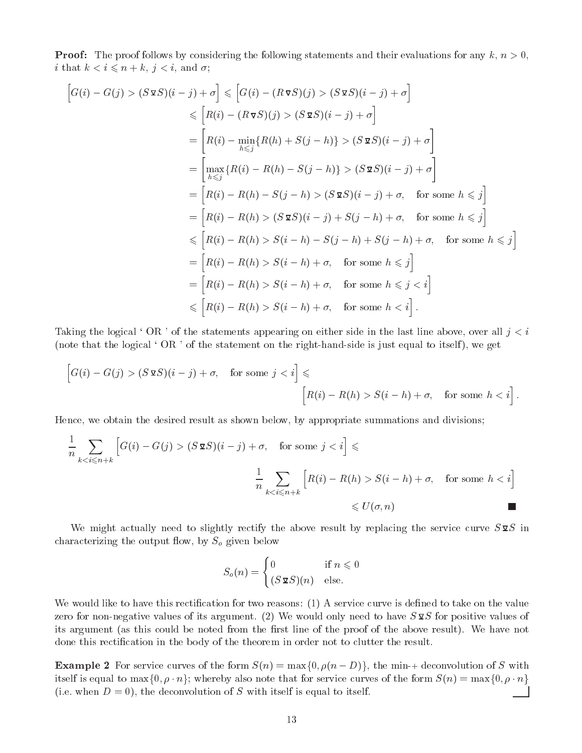**Proof:** The proof follows by considering the following statements and their evaluations for any  $k, n > 0$ , i that  $k < i \leq n + k$ ,  $j < i$ , and  $\sigma$ ;

$$
\begin{aligned}\n\left[G(i) - G(j) > (S \mathbf{S} S)(i - j) + \sigma\right] &\leq \left[G(i) - (R \mathbf{V} S)(j) > (S \mathbf{S} S)(i - j) + \sigma\right] \\
&\leq \left[R(i) - (R \mathbf{V} S)(j) > (S \mathbf{S} S)(i - j) + \sigma\right] \\
&= \left[R(i) - \min_{h \leq j} \{R(h) + S(j - h)\} > (S \mathbf{S} S)(i - j) + \sigma\right] \\
&= \left[\max_{h \leq j} \{R(i) - R(h) - S(j - h)\} > (S \mathbf{S} S)(i - j) + \sigma\right] \\
&= \left[R(i) - R(h) - S(j - h) > (S \mathbf{S} S)(i - j) + \sigma, \quad \text{for some } h \leq j\right] \\
&= \left[R(i) - R(h) > (S \mathbf{S} S)(i - j) + S(j - h) + \sigma, \quad \text{for some } h \leq j\right] \\
&\leq \left[R(i) - R(h) > S(i - h) - S(j - h) + S(j - h) + \sigma, \quad \text{for some } h \leq j\right] \\
&= \left[R(i) - R(h) > S(i - h) + \sigma, \quad \text{for some } h \leq j\right] \\
&= \left[R(i) - R(h) > S(i - h) + \sigma, \quad \text{for some } h \leq j < i\right] \\
&\leq \left[R(i) - R(h) > S(i - h) + \sigma, \quad \text{for some } h < j\right].\n\end{aligned}
$$

Taking the logical 'OR' of the statements appearing on either side in the last line above, over all  $j < i$ (note that the logical  $\cdot$  OR  $\cdot$  of the statement on the right-hand-side is just equal to itself), we get

$$
\[G(i) - G(j) > (S \times S)(i - j) + \sigma, \quad \text{for some } j < i\] \leq \[R(i) - R(h) > S(i - h) + \sigma, \quad \text{for some } h < i\].
$$

Hence, we obtain the desired result as shown below, by appropriate summations and divisions;

$$
\frac{1}{n} \sum_{k < i \le n+k} \left[ G(i) - G(j) > (S \mathbf{\Sigma} S)(i-j) + \sigma, \quad \text{for some } j < i \right] \le \frac{1}{n} \sum_{k < i \le n+k} \left[ R(i) - R(h) > S(i-h) + \sigma, \quad \text{for some } h < i \right] \le U(\sigma, n)
$$

We might actually need to slightly rectify the above result by replacing the service curve  $S\mathfrak{D}S$  in characterizing the output flow, by  $S_o$  given below

$$
S_o(n) = \begin{cases} 0 & \text{if } n \leq 0\\ (S\,\mathbf{\Omega}S)(n) & \text{else.} \end{cases}
$$

We would like to have this rectification for two reasons: (1) A service curve is defined to take on the value zero for non-negative values of its argument. (2) We would only need to have  $S\mathfrak{g}_S$  for positive values of its argument (as this could be noted from the first line of the proof of the above result). We have not done this rectication in the body of the theorem in order not to clutter the result.

**Example 2** For service curves of the form  $S(n) = \max\{0, \rho(n - D)\}\)$ , the min-+ deconvolution of S with itself is equal to  $\max\{0, \rho \cdot n\}$ ; whereby also note that for service curves of the form  $S(n) = \max\{0, \rho \cdot n\}$ (i.e. when  $D = 0$ ), the deconvolution of S with itself is equal to itself.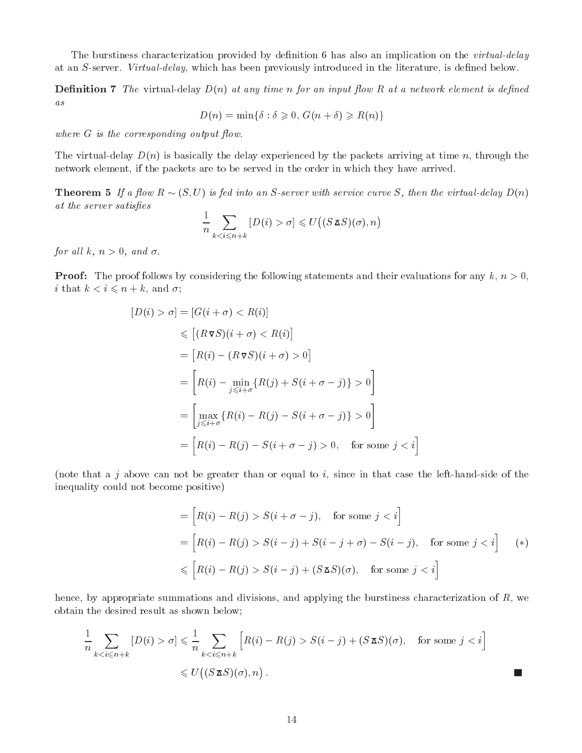The burstiness characterization provided by definition 6 has also an implication on the *virtual-delay* at an S-server. Virtual-delay, which has been previously introduced in the literature, is defined below.

**Definition 7** The virtual-delay  $D(n)$  at any time n for an input flow R at a network element is defined as

 $D(n) = \min\{\delta : \delta \geq 0, G(n + \delta) \geq R(n)\}\$ 

where  $G$  is the corresponding output flow.

The virtual-delay  $D(n)$  is basically the delay experienced by the packets arriving at time n, through the network element, if the packets are to be served in the order in which they have arrived.

**Theorem 5** If a flow  $R \sim (S, U)$  is fed into an S-server with service curve S, then the virtual-delay  $D(n)$ at the server satisfies

$$
\frac{1}{n} \sum_{k < i \leqslant n+k} [D(i) > \sigma] \leqslant U\big((S \mathbf{X} S)(\sigma), n\big)
$$

for all k,  $n > 0$ , and  $\sigma$ .

**Proof:** The proof follows by considering the following statements and their evaluations for any  $k, n > 0$ , i that  $k < i \leqslant n + k$ , and  $\sigma$ ;

$$
[D(i) > \sigma] = [G(i + \sigma) < R(i)]
$$
  
\n
$$
\leq [(R \nabla S)(i + \sigma) < R(i)]
$$
  
\n
$$
= [R(i) - (R \nabla S)(i + \sigma) > 0]
$$
  
\n
$$
= \left[R(i) - \min_{j \leq i + \sigma} \{R(j) + S(i + \sigma - j)\} > 0\right]
$$
  
\n
$$
= \left[\max_{j \leq i + \sigma} \{R(i) - R(j) - S(i + \sigma - j)\} > 0\right]
$$
  
\n
$$
= \left[R(i) - R(j) - S(i + \sigma - j) > 0, \text{ for some } j < i\right]
$$

(note that a j above can not be greater than or equal to i, since in that case the left-hand-side of the inequality could not become positive)

$$
= [R(i) - R(j) > S(i + \sigma - j), \quad \text{for some } j < i]
$$
\n
$$
= [R(i) - R(j) > S(i - j) + S(i - j + \sigma) - S(i - j), \quad \text{for some } j < i] \quad (*)
$$
\n
$$
\leq [R(i) - R(j) > S(i - j) + (S \mathbf{I} \mathbf{S})(\sigma), \quad \text{for some } j < i]
$$

hence, by appropriate summations and divisions, and applying the burstiness characterization of R, we obtain the desired result as shown below;

$$
\frac{1}{n} \sum_{k < i \le n+k} [D(i) > \sigma] \le \frac{1}{n} \sum_{k < i \le n+k} \left[ R(i) - R(j) > S(i-j) + (S \mathbf{X} S)(\sigma), \quad \text{for some } j < i \right]
$$
\n
$$
\le U\left( (S \mathbf{X} S)(\sigma), n \right).
$$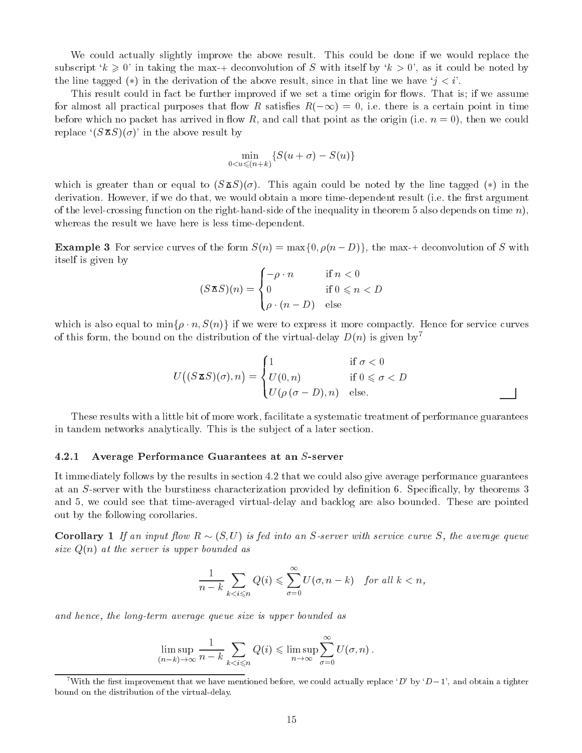We could actually slightly improve the above result. This could be done if we would replace the subscript  $k \geq 0$  in taking the max-+ deconvolution of S with itself by  $k > 0$ , as it could be noted by the line tagged (\*) in the derivation of the above result, since in that line we have  $i < i'$ .

This result could in fact be further improved if we set a time origin for flows. That is; if we assume for almost all practical purposes that flow R satisfies  $R(-\infty) = 0$ , i.e. there is a certain point in time before which no packet has arrived in flow R, and call that point as the origin (i.e.  $n = 0$ ), then we could replace  $(S \Delta S)(\sigma)$  in the above result by

$$
\min_{0
$$

which is greater than or equal to  $(S \triangle S)(\sigma)$ . This again could be noted by the line tagged (\*) in the derivation. However, if we do that, we would obtain a more time-dependent result (i.e. the first argument of the level-crossing function on the right-hand-side of the inequality in theorem 5 also depends on time  $n$ ), whereas the result we have here is less time-dependent.

**Example 3** For service curves of the form  $S(n) = \max\{0, \rho(n - D)\}\)$ , the max-+ deconvolution of S with itself is given by

$$
(S \mathbf{X} S)(n) = \begin{cases} -\rho \cdot n & \text{if } n < 0 \\ 0 & \text{if } 0 \leq n < D \\ \rho \cdot (n - D) & \text{else} \end{cases}
$$

which is also equal to  $\min\{\rho \cdot n, S(n)\}\$  if we were to express it more compactly. Hence for service curves of this form, the bound on the distribution of the virtual-delay  $D(n)$  is given by<sup>7</sup>

$$
U\big((S \mathbf{X} S)(\sigma), n\big) = \begin{cases} 1 & \text{if } \sigma < 0 \\ U(0, n) & \text{if } 0 \leqslant \sigma < D \\ U(\rho \, (\sigma - D), n) & \text{else.} \end{cases}
$$

These results with a little bit of more work, facilitate a systematic treatment of performance guarantees in tandem networks analytically. This is the sub ject of a later section.

#### $4.2.1$ Average Performance Guarantees at an S-server

It immediately follows by the results in section 4.2 that we could also give average performance guarantees at an S-server with the burstiness characterization provided by definition 6. Specifically, by theorems 3 and 5, we could see that time-averaged virtual-delay and backlog are also bounded. These are pointed out by the following corollaries.

**Corollary** 1 If an input flow  $R \sim (S, U)$  is fed into an S-server with service curve S, the average queue size  $Q(n)$  at the server is upper bounded as

$$
\frac{1}{n-k}\sum_{k
$$

and hence, the long-term average queue size is upper bounded as

$$
\limsup_{(n-k)\to\infty}\frac{1}{n-k}\sum_{k
$$

With the first improvement that we have mentioned before, we could actually replace 'D' by 'D-1', and obtain a tighter bound on the distribution of the virtual-delay.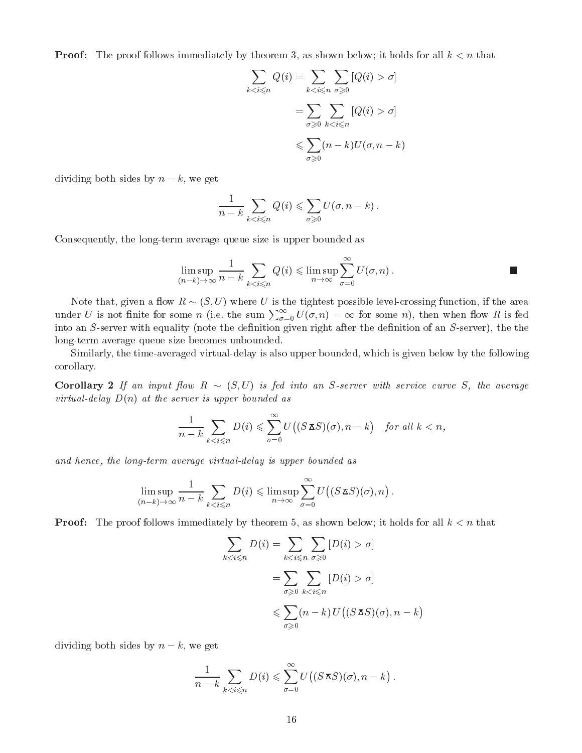**Proof:** The proof follows immediately by theorem 3, as shown below; it holds for all  $k < n$  that

$$
\sum_{k < i \leq n} Q(i) = \sum_{k < i \leq n} \sum_{\sigma \geq 0} [Q(i) > \sigma]
$$
\n
$$
= \sum_{\sigma \geq 0} \sum_{k < i \leq n} [Q(i) > \sigma]
$$
\n
$$
\leq \sum_{\sigma \geq 0} (n - k) U(\sigma, n - k)
$$

dividing both sides by  $n - k$ , we get

$$
\frac{1}{n-k}\sum_{k
$$

Consequently, the long-term average queue size is upper bounded as

$$
\limsup_{(n-k)\to\infty} \frac{1}{n-k} \sum_{k \leq i \leq n} Q(i) \leq \limsup_{n\to\infty} \sum_{\sigma=0}^{\infty} U(\sigma, n).
$$

Note that, given a flow  $R \sim (S, U)$  where U is the tightest possible level-crossing function, if the area under U is not finite for some n (i.e. the sum  $\sum_{\sigma=0}^{\infty} U(\sigma, n) = \infty$  for some n), then when flow R is fed into an S-server with equality (note the definition given right after the definition of an S-server), the the long-term average queue size becomes unbounded.

Similarly, the time-averaged virtual-delay is also upper bounded, which is given below by the following corollary.

ow R is fed in the input of the angle in the angle into an S-server with service curve  $\mathcal{S}$  and average  $\mathcal{S}$ virtual-delay  $D(n)$  at the server is upper bounded as

$$
\frac{1}{n-k}\sum_{k
$$

and hence, the long-term average virtual-delay is upper bounded as

$$
\limsup_{(n-k)\to\infty}\frac{1}{n-k}\sum_{k
$$

**Proof:** The proof follows immediately by theorem 5, as shown below; it holds for all  $k < n$  that

$$
\sum_{k < i \leq n} D(i) = \sum_{k < i \leq n} \sum_{\sigma \geq 0} [D(i) > \sigma]
$$
\n
$$
= \sum_{\sigma \geq 0} \sum_{k < i \leq n} [D(i) > \sigma]
$$
\n
$$
\leq \sum_{\sigma \geq 0} (n - k) U((S \mathbf{\Delta} S)(\sigma), n - k)
$$

dividing both sides by  $n - k$ , we get

$$
\frac{1}{n-k}\sum_{k
$$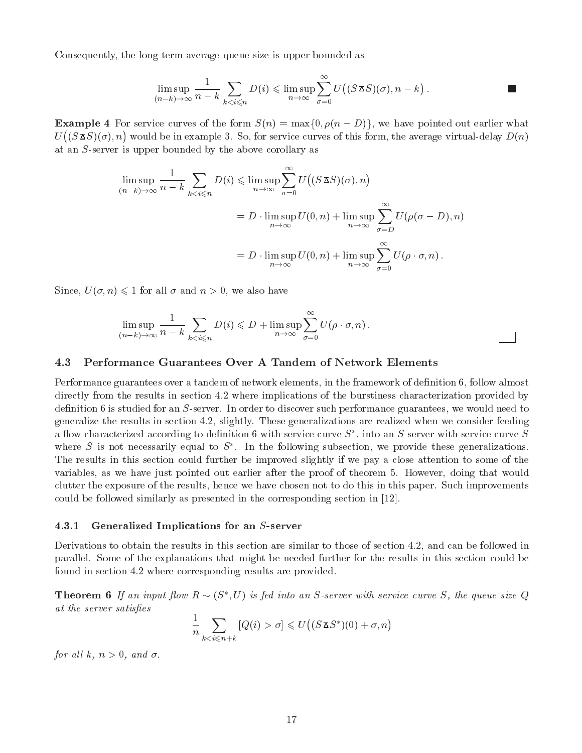Consequently, the long-term average queue size is upper bounded as

$$
\limsup_{(n-k)\to\infty}\frac{1}{n-k}\sum_{k
$$

**Example 4** For service curves of the form  $S(n) = \max\{0, \rho(n - D)\}\)$ , we have pointed out earlier what U  $(S_{\mathbf{\Delta}}S)(\sigma), n$  would be in example 3. So, for service curves of this form, the average virtual-delay  $D(n)$ at an S-server is upper bounded by the above corollary as

$$
\limsup_{(n-k)\to\infty} \frac{1}{n-k} \sum_{k < i \leq n} D(i) \leq \limsup_{n\to\infty} \sum_{\sigma=0}^{\infty} U\big((S \mathbf{X} S)(\sigma), n\big)
$$
\n
$$
= D \cdot \limsup_{n\to\infty} U(0, n) + \limsup_{n\to\infty} \sum_{\sigma=D}^{\infty} U(\rho(\sigma - D), n)
$$
\n
$$
= D \cdot \limsup_{n\to\infty} U(0, n) + \limsup_{n\to\infty} \sum_{\sigma=0}^{\infty} U(\rho \cdot \sigma, n).
$$

Since,  $U(\sigma, n) \leq 1$  for all  $\sigma$  and  $n > 0$ , we also have

$$
\limsup_{(n-k)\to\infty}\frac{1}{n-k}\sum_{k
$$

# 4.3 Performance Guarantees Over A Tandem of Network Elements

Performance guarantees over a tandem of network elements, in the framework of definition 6, follow almost directly from the results in section 4.2 where implications of the burstiness characterization provided by definition 6 is studied for an S-server. In order to discover such performance guarantees, we would need to generalize the results in section 4.2, slightly. These generalizations are realized when we consider feeding a now characterized according to definition  $\mathfrak o$  with service curve  $\mathfrak d$  , into an  $\mathfrak d$ -server with service curve  $\mathfrak d$ where  $S$  is not necessarily equal to  $S$  . In the following subsection, we provide these generalizations. The results in this section could further be improved slightly if we pay a close attention to some of the variables, as we have just pointed out earlier after the proof of theorem 5. However, doing that would clutter the exposure of the results, hence we have chosen not to do this in this paper. Such improvements could be followed similarly as presented in the corresponding section in [12].

### 4.3.1 Generalized Implications for an S-server

Derivations to obtain the results in this section are similar to those of section 4.2, and can be followed in parallel. Some of the explanations that might be needed further for the results in this section could be found in section 4.2 where corresponding results are provided.

**Theorem 6** If an input  $\pi$  low  $K \sim (S, U)$  is feating an S-server with service curve S, the queue size Q at the server satisfies

$$
\frac{1}{n} \sum_{k < i \le n+k} \left[ Q(i) > \sigma \right] \leqslant U\left( \left( S \mathbf{\Sigma} S^* \right) (0) + \sigma, n \right)
$$

for all k,  $n > 0$ , and  $\sigma$ .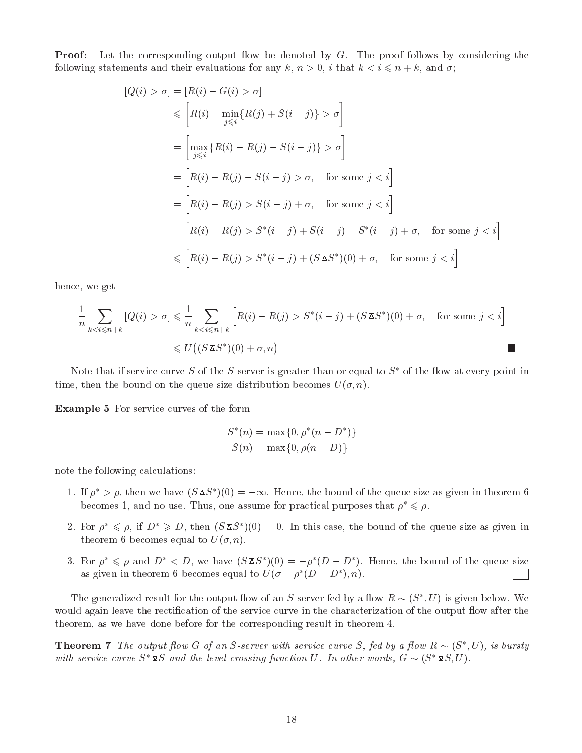**Proof:** Let the corresponding output flow be denoted by  $G$ . The proof follows by considering the following statements and their evaluations for any k,  $n > 0$ , i that  $k < i \leq n + k$ , and  $\sigma$ ;

$$
|Q(i) > \sigma| = |R(i) - G(i) > \sigma|
$$
  
\n
$$
\leq [R(i) - \min_{j \leq i} \{R(j) + S(i - j)\} > \sigma]
$$
  
\n
$$
= \left[\max_{j \leq i} \{R(i) - R(j) - S(i - j)\} > \sigma\right]
$$
  
\n
$$
= [R(i) - R(j) - S(i - j) > \sigma, \text{ for some } j < i]
$$
  
\n
$$
= [R(i) - R(j) > S(i - j) + \sigma, \text{ for some } j < i]
$$
  
\n
$$
= [R(i) - R(j) > S^*(i - j) + S(i - j) - S^*(i - j) + \sigma, \text{ for some } j < i]
$$
  
\n
$$
\leq [R(i) - R(j) > S^*(i - j) + (S \mathbf{\Sigma} S^*)(0) + \sigma, \text{ for some } j < i]
$$

hence, we get

$$
\frac{1}{n} \sum_{k < i \le n+k} \left[ Q(i) > \sigma \right] \leq \frac{1}{n} \sum_{k < i \le n+k} \left[ R(i) - R(j) > S^*(i-j) + (S \mathbf{I} S^*)(0) + \sigma, \quad \text{for some } j < i \right]
$$
\n
$$
\leq U\left( (S \mathbf{I} S^*)(0) + \sigma, n \right)
$$

Note that if service curve S of the S-server is greater than or equal to  $S^*$  of the flow at every point in time, then the bound on the queue size distribution becomes  $U(\sigma, n)$ .

Example 5 For service curves of the form

$$
S^*(n) = \max\{0, \rho^*(n - D^*)\}
$$
  

$$
S(n) = \max\{0, \rho(n - D)\}
$$

note the following calculations:

- 1. If  $\rho \geq \rho$ , then we have ( $S \trianglelefteq \rho$ ) (0)  $\epsilon = -\infty$ . Hence, the bound of the queue size as given in theorem 6 becomes 1, and no use. Thus, one assume for practical purposes that  $\rho^* \leq \rho$ .
- 2. For  $\rho \leq \rho$ , if  $D \geq D$ , then  $S \triangle^S$   $(0) = 0$ . In this case, the bound of the queue size as given in theorem 6 becomes equal to  $U(\sigma, n)$ .
- 3. For  $\rho \preccurlyeq \rho$  and  $D \preccurlyeq D$ , we have  $S \trianglerighteq S$   $\beta$   $(0) = -\rho$  ( $D D$ ). Hence, the bound of the queue size as given in theorem  $\sigma$  becomes equal to  $U(\sigma - \rho) (D - D)$ ,  $n$ ).

The generalized result for the output now of an S-server fed by a now  $R \sim (S_-, U)$  is given below. We would again leave the rectification of the service curve in the characterization of the output flow after the theorem, as we have done before for the corresponding result in theorem 4.

**Theorem** *G* The output flow G of an S-server with service curve S, fea by a flow  $R \sim (S_1, U)$ , is bursty with service curve  $S^* \mathfrak{g} S$  and the level-crossing function U. In other words,  $G \sim (S^* \mathfrak{g} S, U)$ .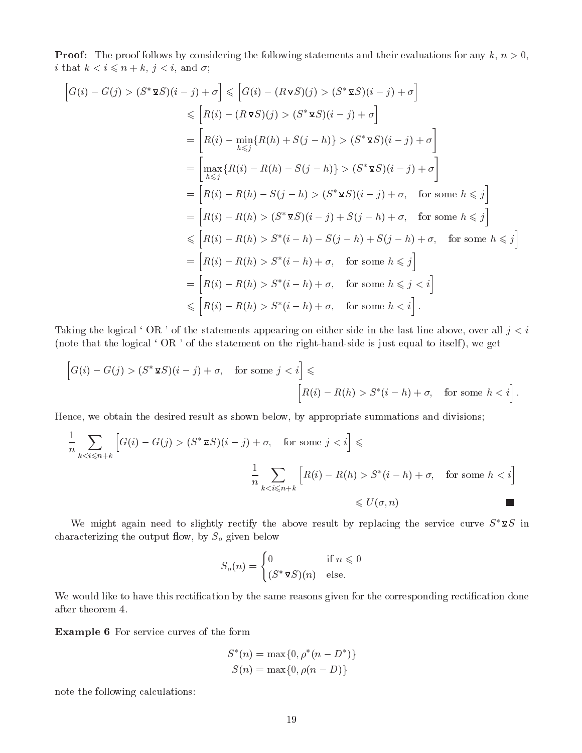**Proof:** The proof follows by considering the following statements and their evaluations for any  $k, n > 0$ , i that  $k < i \leqslant n + k$ ,  $j < i$ , and  $\sigma$ ;

$$
\begin{aligned}\n\left[G(i) - G(j) > (S^* \mathbf{\Sigma} S)(i - j) + \sigma\right] &\leq \left[G(i) - (R \mathbf{\nabla} S)(j) > (S^* \mathbf{\Sigma} S)(i - j) + \sigma\right] \\
&\leq \left[R(i) - (R \mathbf{\nabla} S)(j) > (S^* \mathbf{\Sigma} S)(i - j) + \sigma\right] \\
&= \left[R(i) - \min_{h \leq j} \{R(h) + S(j - h)\} > (S^* \mathbf{\Sigma} S)(i - j) + \sigma\right] \\
&= \left[\max_{h \leq j} \{R(i) - R(h) - S(j - h)\} > (S^* \mathbf{\Sigma} S)(i - j) + \sigma\right] \\
&= \left[R(i) - R(h) - S(j - h) > (S^* \mathbf{\Sigma} S)(i - j) + \sigma, \quad \text{for some } h \leq j\right] \\
&= \left[R(i) - R(h) > (S^* \mathbf{\Sigma} S)(i - j) + S(j - h) + \sigma, \quad \text{for some } h \leq j\right] \\
&\leq \left[R(i) - R(h) > S^*(i - h) - S(j - h) + S(j - h) + \sigma, \quad \text{for some } h \leq j\right] \\
&= \left[R(i) - R(h) > S^*(i - h) + \sigma, \quad \text{for some } h \leq j\right] \\
&= \left[R(i) - R(h) > S^*(i - h) + \sigma, \quad \text{for some } h \leq j < i\right] \\
&\leq \left[R(i) - R(h) > S^*(i - h) + \sigma, \quad \text{for some } h < i\right].\n\end{aligned}
$$

Taking the logical 'OR' of the statements appearing on either side in the last line above, over all  $j < i$ (note that the logical 'OR' of the statement on the right-hand-side is just equal to itself), we get

$$
\[G(i) - G(j) > (S^* \mathbf{\Sigma} S)(i - j) + \sigma, \quad \text{for some } j < i\] \leqslant
$$
\n
$$
\[R(i) - R(h) > S^*(i - h) + \sigma, \quad \text{for some } h < i\].
$$

Hence, we obtain the desired result as shown below, by appropriate summations and divisions;

$$
\frac{1}{n} \sum_{k < i \le n+k} \left[ G(i) - G(j) > (S^* \mathbf{\Sigma} S)(i-j) + \sigma, \quad \text{for some } j < i \right] \le
$$
\n
$$
\frac{1}{n} \sum_{k < i \le n+k} \left[ R(i) - R(h) > S^*(i-h) + \sigma, \quad \text{for some } h < i \right]
$$
\n
$$
\le U(\sigma, n)
$$

We might again need to slightly rectify the above result by replacing the service curve  $S^* \mathcal{Q} S$  in characterizing the output flow, by  $S_o$  given below

$$
S_o(n) = \begin{cases} 0 & \text{if } n \leq 0\\ (S^* \mathbf{\Sigma} S)(n) & \text{else.} \end{cases}
$$

We would like to have this rectification by the same reasons given for the corresponding rectification done after theorem 4.

Example 6 For service curves of the form

$$
S^*(n) = \max\{0, \rho^*(n - D^*)\}
$$
  

$$
S(n) = \max\{0, \rho(n - D)\}
$$

note the following calculations: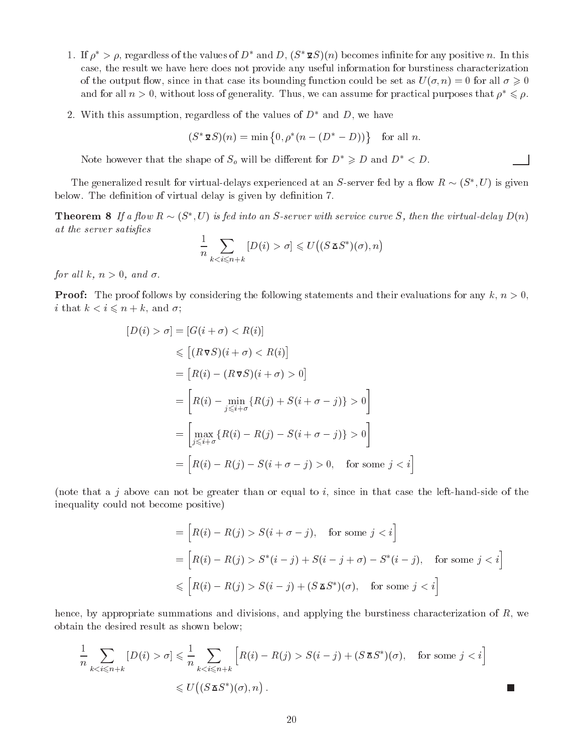- 1. If  $\rho^* > \rho$ , regardless of the values of  $D^*$  and D,  $(S^* \mathcal{Q}S)(n)$  becomes infinite for any positive n. In this case, the result we have here does not provide any useful information for burstiness characterization of the output flow, since in that case its bounding function could be set as  $U(\sigma, n) = 0$  for all  $\sigma \geq 0$ and for all  $n > 0$ , without loss of generality. Thus, we can assume for practical purposes that  $\rho^* \leq \rho$ .
- 2. With this assumption, regardless of the values of  $D^*$  and D, we have

$$
(S^* \mathbf{\Sigma} S)(n) = \min \{0, \rho^*(n - (D^* - D))\}
$$
 for all *n*.

Note however that the shape of  $S_o$  will be different for  $D^* \ge D$  and  $D^* < D$ .

The generalized result for virtual-delays experienced at an S-server fed by a now  $R \sim (S_+, U)$  is given below. The definition of virtual delay is given by definition 7.

**Theorem 8** If a flow  $R \sim (S, U)$  is feature on S-server with service curve S, then the virtual-delay  $D(n)$ at the server satisfies

$$
\frac{1}{n} \sum_{k < i \leqslant n+k} [D(i) > \sigma] \leqslant U\big((S \, \mathbf{X} S^*)(\sigma), n\big)
$$

for all k,  $n > 0$ , and  $\sigma$ .

**Proof:** The proof follows by considering the following statements and their evaluations for any  $k, n > 0$ , i that  $k < i \leq n + k$ , and  $\sigma$ ;

$$
[D(i) > \sigma] = [G(i + \sigma) < R(i)]
$$
  
\n
$$
\leq [(R \sigma S)(i + \sigma) < R(i)]
$$
  
\n
$$
= [R(i) - (R \sigma S)(i + \sigma) > 0]
$$
  
\n
$$
= \left[R(i) - \min_{j \leq i + \sigma} \{R(j) + S(i + \sigma - j)\} > 0\right]
$$
  
\n
$$
= \left[\max_{j \leq i + \sigma} \{R(i) - R(j) - S(i + \sigma - j)\} > 0\right]
$$
  
\n
$$
= \left[R(i) - R(j) - S(i + \sigma - j) > 0, \text{ for some } j < i\right]
$$

(note that a j above can not be greater than or equal to i, since in that case the left-hand-side of the inequality could not become positive)

$$
= [R(i) - R(j) > S(i + \sigma - j), \quad \text{for some } j < i]
$$
\n
$$
= [R(i) - R(j) > S^*(i - j) + S(i - j + \sigma) - S^*(i - j), \quad \text{for some } j < i]
$$
\n
$$
\leq [R(i) - R(j) > S(i - j) + (S \mathbf{Z} S^*)(\sigma), \quad \text{for some } j < i]
$$

hence, by appropriate summations and divisions, and applying the burstiness characterization of R, we obtain the desired result as shown below;

$$
\frac{1}{n} \sum_{k < i \le n+k} [D(i) > \sigma] \le \frac{1}{n} \sum_{k < i \le n+k} \left[ R(i) - R(j) > S(i-j) + (S \mathbf{X} S^*)(\sigma), \quad \text{for some } j < i \right]
$$
\n
$$
\le U\left( (S \mathbf{X} S^*)(\sigma), n \right).
$$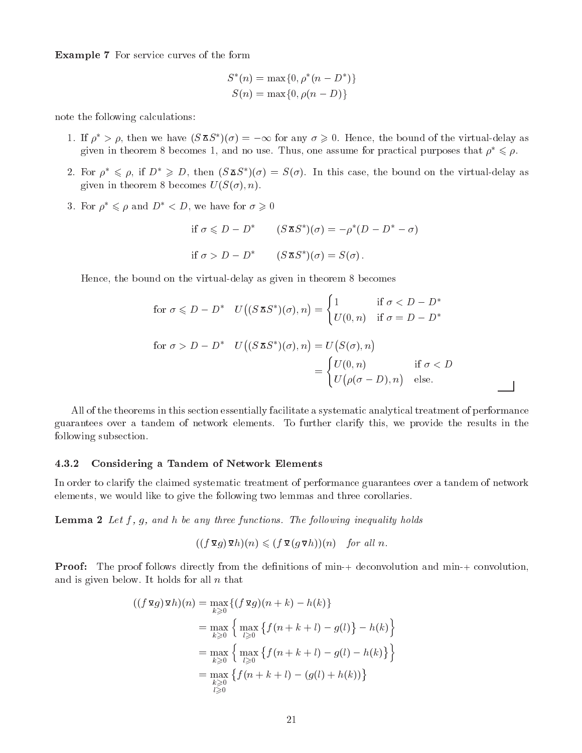Example 7 For service curves of the form

$$
S^*(n) = \max\{0, \rho^*(n - D^*)\}
$$
  

$$
S(n) = \max\{0, \rho(n - D)\}
$$

note the following calculations:

- 1. If  $\rho \to \rho$ , then we have  $(5\Delta 5)(\sigma) = -\infty$  for any  $\sigma \geq 0$ . Hence, the bound of the virtual-delay as given in theorem 8 becomes 1, and no use. Thus, one assume for practical purposes that  $\rho^* \leq \rho$ .
- 2. For  $\rho \approx \rho$ , if  $D \not\gg D$ , then ( $\beta \Delta \beta$ )( $\sigma$ ) =  $\beta(\sigma)$ . In this case, the bound on the virtual-delay as given in theorem 8 becomes  $U(S(\sigma), n)$ .
- 3. For  $\rho^* \leq \rho$  and  $D^* < D$ , we have for  $\sigma \geq 0$

if 
$$
\sigma \leq D - D^*
$$
  $(S \mathbf{\Sigma} S^*)(\sigma) = -\rho^*(D - D^* - \sigma)$   
if  $\sigma > D - D^*$   $(S \mathbf{\Sigma} S^*)(\sigma) = S(\sigma)$ .

Hence, the bound on the virtual-delay as given in theorem 8 becomes

for 
$$
\sigma \leq D - D^*
$$
  $U((S \mathbf{X} S^*)(\sigma), n) = \begin{cases} 1 & \text{if } \sigma < D - D^* \\ U(0, n) & \text{if } \sigma = D - D^* \end{cases}$   
for  $\sigma > D - D^*$   $U((S \mathbf{X} S^*)(\sigma), n) = U(S(\sigma), n)$   

$$
= \begin{cases} U(0, n) & \text{if } \sigma < D \\ U(\rho(\sigma - D), n) & \text{else.} \end{cases}
$$

All of the theorems in this section essentially facilitate a systematic analytical treatment of performance guarantees over a tandem of network elements. To further clarify this, we provide the results in the following subsection.

### 4.3.2 Considering a Tandem of Network Elements

In order to clarify the claimed systematic treatment of performance guarantees over a tandem of network elements, we would like to give the following two lemmas and three corollaries.

**Lemma 2** Let  $f$ ,  $g$ , and  $h$  be any three functions. The following inequality holds

$$
((f\,\mathbf{\Sigma}\,g)\,\mathbf{\Sigma}\,h)(n)\leqslant (f\,\mathbf{\Sigma}\,(g\,\mathbf{\nabla}\,h))(n)\quad\text{for all }n.
$$

**Proof:** The proof follows directly from the definitions of min-+ deconvolution and min-+ convolution, and is given below. It holds for all  $n$  that

$$
((f\,\mathbf{\Omega}g)\,\mathbf{\Omega}h)(n) = \max_{k\geqslant 0} \{ (f\,\mathbf{\Omega}g)(n+k) - h(k) \}
$$
  
= 
$$
\max_{k\geqslant 0} \left\{ \max_{l\geqslant 0} \{ f(n+k+l) - g(l) \} - h(k) \right\}
$$
  
= 
$$
\max_{k\geqslant 0} \left\{ \max_{l\geqslant 0} \{ f(n+k+l) - g(l) - h(k) \} \right\}
$$
  
= 
$$
\max_{k\geqslant 0} \{ f(n+k+l) - (g(l) + h(k)) \}
$$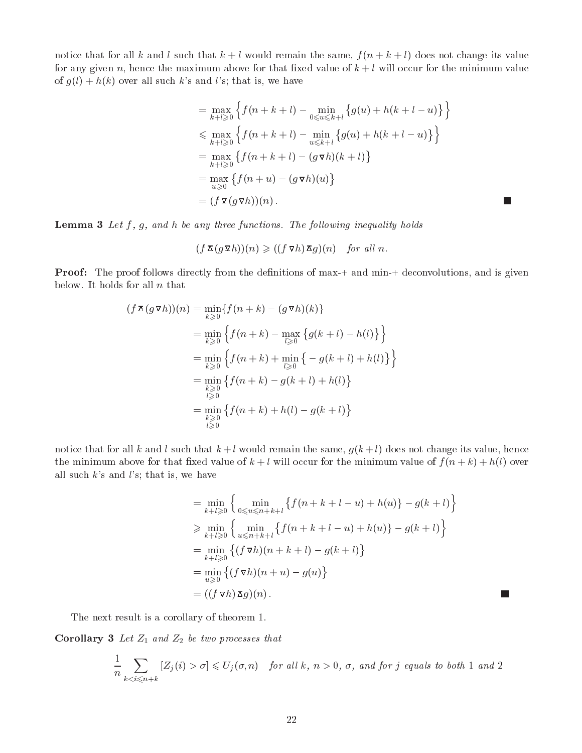notice that for all k and l such that  $k + l$  would remain the same,  $f(n + k + l)$  does not change its value for any given n, hence the maximum above for that fixed value of  $k+l$  will occur for the minimum value of  $g(l) + h(k)$  over all such k's and l's; that is, we have

$$
= \max_{k+l\geqslant 0} \left\{ f(n+k+l) - \min_{0\leqslant u\leqslant k+l} \left\{ g(u) + h(k+l-u) \right\} \right\}
$$
  
\n
$$
\leqslant \max_{k+l\geqslant 0} \left\{ f(n+k+l) - \min_{u\leqslant k+l} \left\{ g(u) + h(k+l-u) \right\} \right\}
$$
  
\n
$$
= \max_{k+l\geqslant 0} \left\{ f(n+k+l) - (g \nabla h)(k+l) \right\}
$$
  
\n
$$
= \max_{u\geqslant 0} \left\{ f(n+u) - (g \nabla h)(u) \right\}
$$
  
\n
$$
= (f \nabla (g \nabla h))(n).
$$

 $\Box$ 

 $\mathcal{L}_{\mathcal{A}}$ 

**Lemma 3** Let  $f$ ,  $g$ , and  $h$  be any three functions. The following inequality holds

$$
(f\mathop{\mathbf{Z}}(g\mathop{\mathbf{Q}} h))(n) \geqslant ((f\mathop{\mathbf{Q}} h)\mathop{\mathbf{Z}} g)(n) \quad \text{for all } n.
$$

**Proof:** The proof follows directly from the definitions of max-+ and min-+ deconvolutions, and is given below. It holds for all  $n$  that

$$
(f \mathbf{X} (g \mathbf{X} h))(n) = \min_{k \geq 0} \{ f(n+k) - (g \mathbf{X} h)(k) \}
$$
  
\n
$$
= \min_{k \geq 0} \{ f(n+k) - \max_{l \geq 0} \{ g(k+l) - h(l) \} \}
$$
  
\n
$$
= \min_{k \geq 0} \{ f(n+k) + \min_{l \geq 0} \{ -g(k+l) + h(l) \} \}
$$
  
\n
$$
= \min_{\substack{k \geq 0 \\ l \geq 0}} \{ f(n+k) - g(k+l) + h(l) \}
$$
  
\n
$$
= \min_{\substack{k \geq 0 \\ l \geq 0}} \{ f(n+k) + h(l) - g(k+l) \}
$$

notice that for all k and l such that  $k+l$  would remain the same,  $g(k+l)$  does not change its value, hence the minimum above for that fixed value of  $k+l$  will occur for the minimum value of  $f(n+k)+h(l)$  over all such  $k$ 's and  $l$ 's; that is, we have

$$
= \min_{k+l\geqslant 0} \left\{ \min_{0\leqslant u\leqslant n+k+l} \left\{ f(n+k+l-u) + h(u) \right\} - g(k+l) \right\}
$$
  
\n
$$
\geqslant \min_{k+l\geqslant 0} \left\{ \min_{u\leqslant n+k+l} \left\{ f(n+k+l-u) + h(u) \right\} - g(k+l) \right\}
$$
  
\n
$$
= \min_{k+l\geqslant 0} \left\{ (f \nabla h)(n+k+l) - g(k+l) \right\}
$$
  
\n
$$
= \min_{u\geqslant 0} \left\{ (f \nabla h)(n+u) - g(u) \right\}
$$
  
\n
$$
= ((f \nabla h) \nabla g)(n).
$$

The next result is a corollary of theorem 1.

**Corollary 3** Let  $Z_1$  and  $Z_2$  be two processes that

$$
\frac{1}{n}\sum_{k \sigma] \leqslant U_j(\sigma, n) \quad \text{for all } k, n > 0, \sigma, \text{ and for } j \text{ equals to both } 1 \text{ and } 2
$$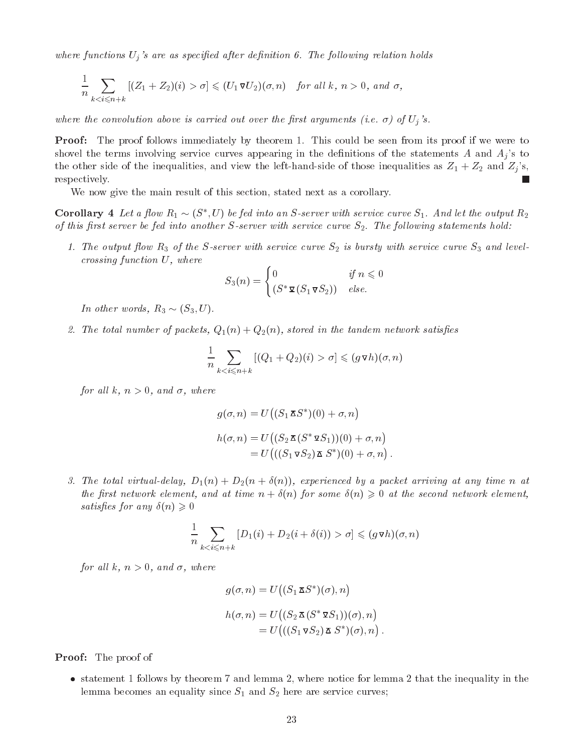where functions  $U_j$ 's are as specified after definition 6. The following relation holds

$$
\frac{1}{n}\sum_{k0,\="" n+k}[(z_1+z_2)(i)>\sigma]\leqslant="" }\sigma,<="" }k,\="">
$$

where the convolution above is carried out over the first arguments (i.e.  $\sigma$ ) of  $U_j$ 's.

**Proof:** The proof follows immediately by theorem 1. This could be seen from its proof if we were to shovel the terms involving service curves appearing in the definitions of the statements A and  $A_i$ 's to the other side of the inequalities, and view the left-hand-side of those inequalities as  $Z_1 + Z_2$  and  $Z_j$ 's, respectively. L.

We now give the main result of this section, stated next as a corollary.

**Corollary 4** Let a flow  $R_1 \sim (S_1, U)$  be fea into an S-server with service curve  $S_1$ . And let the output  $R_2$ of this first server be fed into another  $S$ -server with service curve  $S_2$ . The following statements hold:

1. The output flow  $R_3$  of the S-server with service curve  $S_2$  is bursty with service curve  $S_3$  and levelcrossing function U, where

$$
S_3(n) = \begin{cases} 0 & \text{if } n \leq 0\\ (S^* \mathbf{\Sigma} (S_1 \mathbf{\Sigma} S_2)) & \text{else.} \end{cases}
$$

In other words,  $R_3 \sim (S_3, U)$ .

2. The total number of packets,  $Q_1(n) + Q_2(n)$ , stored in the tandem network satisfies

$$
\frac{1}{n}\sum_{k < i \leq n+k} \left[ (Q_1 + Q_2)(i) > \sigma \right] \leqslant (g \mathbf{v} h)(\sigma, n)
$$

for all k,  $n > 0$ , and  $\sigma$ , where

$$
g(\sigma, n) = U\big((S_1 \mathbf{\Sigma} S^*)(0) + \sigma, n\big)
$$
  
\n
$$
h(\sigma, n) = U\big((S_2 \mathbf{\Sigma} (S^* \mathbf{\Sigma} S_1))(0) + \sigma, n\big)
$$
  
\n
$$
= U\big(((S_1 \mathbf{\Sigma} S_2) \mathbf{\Sigma} S^*)(0) + \sigma, n\big).
$$

3. The total virtual-delay,  $D_1(n) + D_2(n + \delta(n))$ , experienced by a packet arriving at any time n at the first network element, and at time  $n + \delta(n)$  for some  $\delta(n) \geq 0$  at the second network element, satisfies for any  $\delta(n) \geqslant 0$ 

$$
\frac{1}{n}\sum_{k \sigma] \leq (g \nabla h)(\sigma, n)
$$

for all k,  $n > 0$ , and  $\sigma$ , where

$$
g(\sigma, n) = U\big((S_1 \mathbf{\Sigma} S^*)(\sigma), n\big)
$$
  

$$
h(\sigma, n) = U\big((S_2 \mathbf{\Sigma} (S^* \mathbf{\Sigma} S_1))(\sigma), n\big)
$$
  

$$
= U\big(((S_1 \mathbf{\Sigma} S_2) \mathbf{\Sigma} S^*)(\sigma), n\big).
$$

Proof: The proof of

 statement 1 follows by theorem 7 and lemma 2, where notice for lemma 2 that the inequality in the lemma becomes an equality since  $S_1$  and  $S_2$  here are service curves;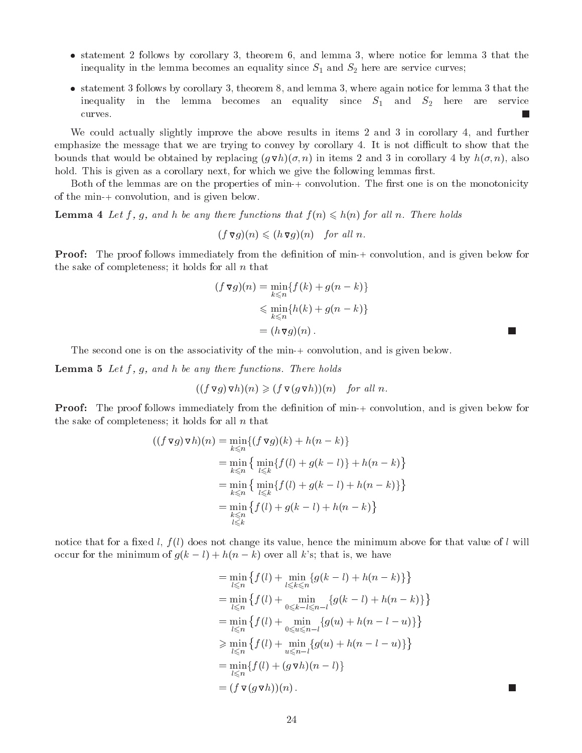- statement <sup>2</sup> follows by corollary 3, theorem 6, and lemma 3, where notice for lemma <sup>3</sup> that the inequality in the lemma becomes an equality since  $S_1$  and  $S_2$  here are service curves;
- statement 3 follows by corollary 3, theorem 8, and lemma 3, where again notice for lemma 3 that the inequality in the lemma becomes an equality since  $S_1$  and  $S_2$  here are service curves. L.

We could actually slightly improve the above results in items 2 and 3 in corollary 4, and further emphasize the message that we are trying to convey by corollary 4. It is not difficult to show that the bounds that would be obtained by replacing  $(q \nabla h)(\sigma, n)$  in items 2 and 3 in corollary 4 by  $h(\sigma, n)$ , also hold. This is given as a corollary next, for which we give the following lemmas first.

Both of the lemmas are on the properties of min-+ convolution. The first one is on the monotonicity of the min-+ convolution, and is given below.

**Lemma 4** Let f, g, and h be any there functions that  $f(n) \leq h(n)$  for all n. There holds

$$
(f\,\mathbf{\nabla} g)(n) \leqslant (h\,\mathbf{\nabla} g)(n) \quad \text{for all } n.
$$

**Proof:** The proof follows immediately from the definition of min-+ convolution, and is given below for the sake of completeness; it holds for all  $n$  that

$$
(f \nabla g)(n) = \min_{k \le n} \{ f(k) + g(n - k) \}
$$
  
\$\le \min\_{k \le n} \{ h(k) + g(n - k) \}\$  

$$
= (h \nabla g)(n).
$$

The second one is on the associativity of the min-+ convolution, and is given below.

**Lemma 5** Let  $f$ ,  $g$ , and  $h$  be any there functions. There holds

$$
((f \triangledown g) \triangledown h)(n) \geq (f \triangledown (g \triangledown h))(n) \quad \text{for all } n.
$$

**Proof:** The proof follows immediately from the definition of min-+ convolution, and is given below for the sake of completeness; it holds for all  $n$  that

$$
((f \nabla g) \nabla h)(n) = \min_{k \le n} \{ (f \nabla g)(k) + h(n - k) \}
$$
  
= 
$$
\min_{k \le n} \{ \min_{l \le k} \{ f(l) + g(k - l) \} + h(n - k) \}
$$
  
= 
$$
\min_{k \le n} \{ \min_{l \le k} \{ f(l) + g(k - l) + h(n - k) \} \}
$$
  
= 
$$
\min_{\substack{k \le n \\ l \le k}} \{ f(l) + g(k - l) + h(n - k) \}
$$

notice that for a fixed  $l, f(l)$  does not change its value, hence the minimum above for that value of l will occur for the minimum of  $g(k - l) + h(n - k)$  over all k's; that is, we have

$$
= \min_{l \leq n} \{ f(l) + \min_{l \leq k \leq n} \{ g(k-l) + h(n-k) \} \}
$$
  
\n
$$
= \min_{l \leq n} \{ f(l) + \min_{0 \leq k-l \leq n-l} \{ g(k-l) + h(n-k) \} \}
$$
  
\n
$$
= \min_{l \leq n} \{ f(l) + \min_{0 \leq u \leq n-l} \{ g(u) + h(n-l-u) \} \}
$$
  
\n
$$
\geq \min_{l \leq n} \{ f(l) + \min_{u \leq n-l} \{ g(u) + h(n-l-u) \} \}
$$
  
\n
$$
= \min_{l \leq n} \{ f(l) + (g \nabla h)(n-l) \}
$$
  
\n
$$
= (f \nabla (g \nabla h))(n).
$$

m.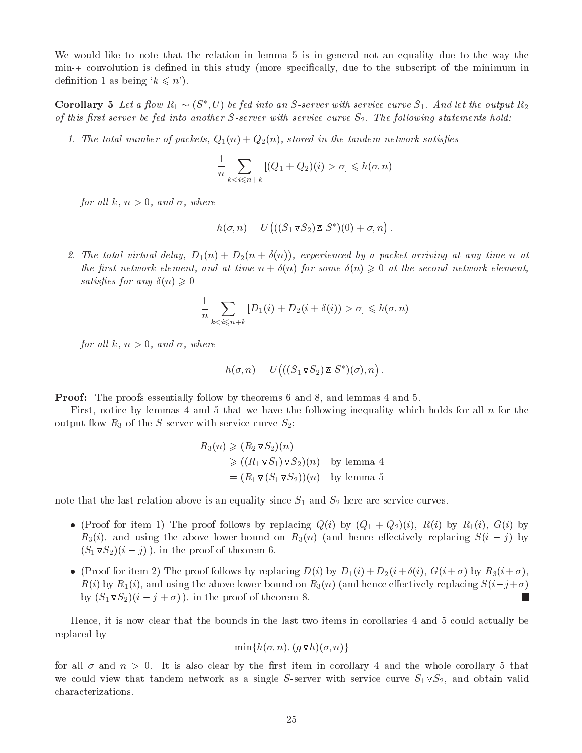We would like to note that the relation in lemma 5 is in general not an equality due to the way the min-+ convolution is defined in this study (more specifically, due to the subscript of the minimum in definition 1 as being  $k \leq n'$ .

**Corollary 5** Let a flow  $R_1 \sim (S_1, U)$  be fea into an S-server with service curve  $S_1$ . And let the output  $R_2$ of this first server be fed into another  $S$ -server with service curve  $S_2$ . The following statements hold:

1. The total number of packets,  $Q_1(n) + Q_2(n)$ , stored in the tandem network satisfies

$$
\frac{1}{n} \sum_{k < i \le n+k} \left[ (Q_1 + Q_2)(i) > \sigma \right] \leq h(\sigma, n)
$$

for all k,  $n > 0$ , and  $\sigma$ , where

$$
h(\sigma, n) = U(((S_1 \triangledown S_2) \triangledown S^*)(0) + \sigma, n).
$$

2. The total virtual-delay,  $D_1(n) + D_2(n + \delta(n))$ , experienced by a packet arriving at any time n at the first network element, and at time  $n + \delta(n)$  for some  $\delta(n) \geqslant 0$  at the second network element, satisfies for any  $\delta(n) \geqslant 0$ 

$$
\frac{1}{n} \sum_{k < i \le n+k} \left[ D_1(i) + D_2(i + \delta(i)) > \sigma \right] \leqslant h(\sigma, n)
$$

for all k,  $n > 0$ , and  $\sigma$ , where

$$
h(\sigma, n) = U\big(((S_1 \triangledown S_2) \triangledown S^*)(\sigma), n\big).
$$

Proof: The proofs essentially follow by theorems 6 and 8, and lemmas 4 and 5.

First, notice by lemmas 4 and 5 that we have the following inequality which holds for all  $n$  for the output flow  $R_3$  of the S-server with service curve  $S_2$ ;

$$
R_3(n) \geq (R_2 \nabla S_2)(n)
$$
  
\n
$$
\geq ((R_1 \nabla S_1) \nabla S_2)(n)
$$
 by lemma 4  
\n
$$
= (R_1 \nabla (S_1 \nabla S_2))(n)
$$
 by lemma 5

note that the last relation above is an equality since  $S_1$  and  $S_2$  here are service curves.

- (Proof for item 1) The proof follows by replacing  $Q(i)$  by  $(Q_1 + Q_2)(i)$ ,  $R(i)$  by  $R_1(i)$ ,  $G(i)$  by  $R_3(i)$ , and using the above lower-bound on  $R_3(n)$  (and hence effectively replacing  $S(i - j)$  by  $(S_1 \triangledown S_2)(i - j)$ , in the proof of theorem 6.
- (Proof for item 2) The proof follows by replacing  $D(i)$  by  $D_1(i) + D_2(i + \delta(i), G(i + \sigma)$  by  $R_3(i + \sigma)$ ,  $R(i)$  by  $R_1(i)$ , and using the above lower-bound on  $R_3(n)$  (and hence effectively replacing  $S(i-j+\sigma)$ ) by  $(S_1 \triangledown S_2)(i - j + \sigma)$ , in the proof of theorem 8. П

Hence, it is now clear that the bounds in the last two items in corollaries 4 and 5 could actually be replaced by

$$
\min\{h(\sigma,n),(g\,\mathtt{\bar{v}}\,h)(\sigma,n)\}
$$

for all  $\sigma$  and  $n > 0$ . It is also clear by the first item in corollary 4 and the whole corollary 5 that we could view that tandem network as a single S-server with service curve  $S_1 \nabla S_2$ , and obtain valid characterizations.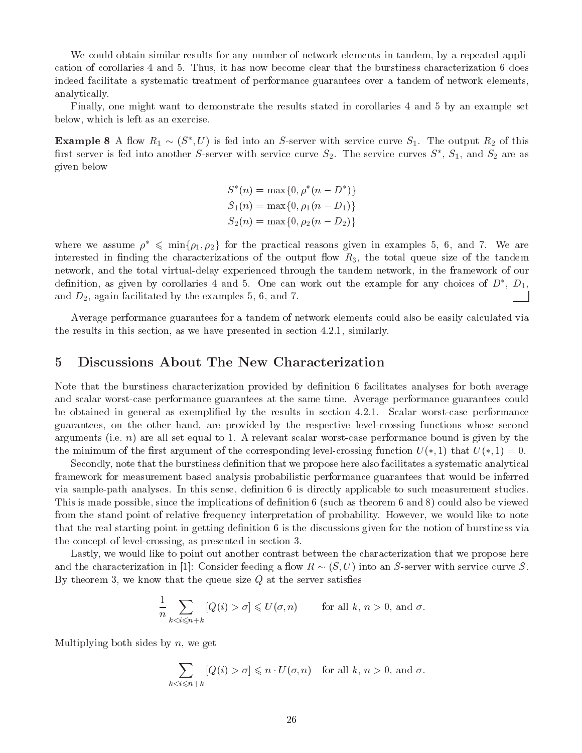We could obtain similar results for any number of network elements in tandem, by a repeated application of corollaries 4 and 5. Thus, it has now become clear that the burstiness characterization 6 does indeed facilitate a systematic treatment of performance guarantees over a tandem of network elements, analytically.

Finally, one might want to demonstrate the results stated in corollaries 4 and 5 by an example set below, which is left as an exercise.

**Example 8** A now  $R_1 \sim (S_1, U)$  is fed into an S-server with service curve  $S_1$ . The output  $R_2$  of this first server is fed into another 5-server with service curve  $S_2$ . The service curves  $S$  ,  $S_1$ , and  $S_2$  are as given below

$$
S^*(n) = \max\{0, \rho^*(n - D^*)\}
$$
  
\n
$$
S_1(n) = \max\{0, \rho_1(n - D_1)\}
$$
  
\n
$$
S_2(n) = \max\{0, \rho_2(n - D_2)\}
$$

where we assume  $\rho^* \leq \min\{\rho_1, \rho_2\}$  for the practical reasons given in examples 5, 6, and 7. We are interested in finding the characterizations of the output flow  $R_3$ , the total queue size of the tandem network, and the total virtual-delay experienced through the tandem network, in the framework of our definition, as given by corollaries 4 and 5. One can work out the example for any choices of  $D$  ,  $D_1$ , and  $D_2$ , again facilitated by the examples 5, 6, and 7.

Average performance guarantees for a tandem of network elements could also be easily calculated via the results in this section, as we have presented in section 4.2.1, similarly.

### 5 Discussions About The New Characterization  $\overline{5}$

Note that the burstiness characterization provided by definition 6 facilitates analyses for both average and scalar worst-case performance guarantees at the same time. Average performance guarantees could be obtained in general as exemplied by the results in section 4.2.1. Scalar worst-case performance guarantees, on the other hand, are provided by the respective level-crossing functions whose second arguments (i.e.  $n$ ) are all set equal to 1. A relevant scalar worst-case performance bound is given by the the minimum of the first argument of the corresponding level-crossing function  $U(*, 1)$  that  $U(*, 1) = 0$ .

Secondly, note that the burstiness definition that we propose here also facilitates a systematic analytical framework for measurement based analysis probabilistic performance guarantees that would be inferred via sample-path analyses. In this sense, definition 6 is directly applicable to such measurement studies. This is made possible, since the implications of definition 6 (such as theorem 6 and 8) could also be viewed from the stand point of relative frequency interpretation of probability. However, we would like to note that the real starting point in getting definition 6 is the discussions given for the notion of burstiness via the concept of level-crossing, as presented in section 3.

Lastly, we would like to point out another contrast between the characterization that we propose here and the characterization in [1]: Consider feeding a flow  $R \sim (S, U)$  into an S-server with service curve S. By theorem 3, we know that the queue size  $Q$  at the server satisfies

$$
\frac{1}{n} \sum_{k < i \leq n+k} \left[ Q(i) > \sigma \right] \leqslant U(\sigma, n) \qquad \text{for all } k, n > 0, \text{ and } \sigma.
$$

Multiplying both sides by  $n$ , we get

$$
\sum_{k < i \leqslant n+k} \left[ Q(i) > \sigma \right] \leqslant n \cdot U(\sigma, n) \quad \text{for all } k, n > 0, \text{ and } \sigma.
$$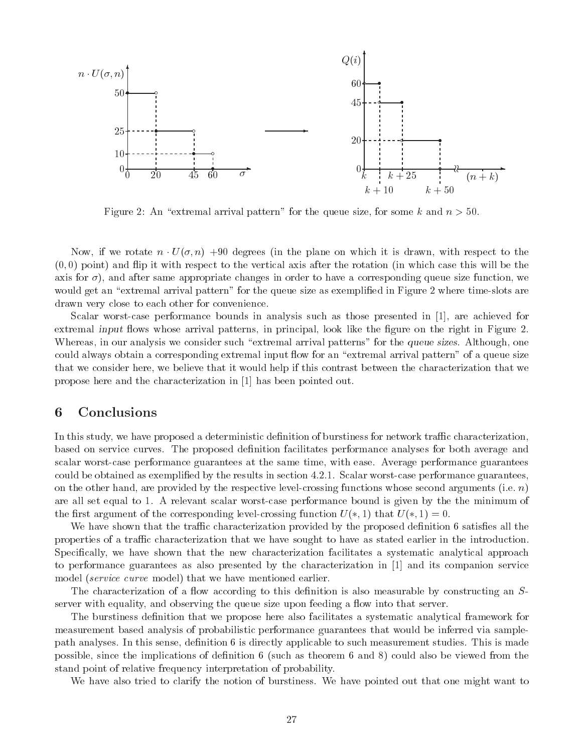

Figure 2: An "extremal arrival pattern" for the queue size, for some k and  $n > 50$ .

Now, if we rotate n U(; n) +90 degrees (in the plane on which it is drawn, with respect to the  $(0,0)$  point) and flip it with respect to the vertical axis after the rotation (in which case this will be the axis for  $\sigma$ ), and after same appropriate changes in order to have a corresponding queue size function, we would get an "extremal arrival pattern" for the queue size as exemplified in Figure 2 where time-slots are drawn very close to each other for convenience.

Scalar worst-case performance bounds in analysis such as those presented in [1], are achieved for extremal input flows whose arrival patterns, in principal, look like the figure on the right in Figure 2. Whereas, in our analysis we consider such "extremal arrival patterns" for the queue sizes. Although, one could always obtain a corresponding extremal input flow for an "extremal arrival pattern" of a queue size that we consider here, we believe that it would help if this contrast between the characterization that we propose here and the characterization in [1] has been pointed out.

### **Conclusions** 6

In this study, we have proposed a deterministic definition of burstiness for network traffic characterization, based on service curves. The proposed denition facilitates performance analyses for both average and scalar worst-case performance guarantees at the same time, with ease. Average performance guarantees could be obtained as exemplied by the results in section 4.2.1. Scalar worst-case performance guarantees, on the other hand, are provided by the respective level-crossing functions whose second arguments (i.e.  $n$ ) are all set equal to 1. A relevant scalar worst-case performance bound is given by the the minimum of the first argument of the corresponding level-crossing function  $U(*, 1)$  that  $U(*, 1) = 0$ .

We have shown that the traffic characterization provided by the proposed definition 6 satisfies all the properties of a traffic characterization that we have sought to have as stated earlier in the introduction. Specifically, we have shown that the new characterization facilitates a systematic analytical approach to performance guarantees as also presented by the characterization in [1] and its companion service model *(service curve* model) that we have mentioned earlier.

The characterization of a flow according to this definition is also measurable by constructing an  $S$ server with equality, and observing the queue size upon feeding a flow into that server.

The burstiness definition that we propose here also facilitates a systematic analytical framework for measurement based analysis of probabilistic performance guarantees that would be inferred via samplepath analyses. In this sense, definition 6 is directly applicable to such measurement studies. This is made possible, since the implications of definition  $6$  (such as theorem  $6$  and  $8$ ) could also be viewed from the stand point of relative frequency interpretation of probability.

We have also tried to clarify the notion of burstiness. We have pointed out that one might want to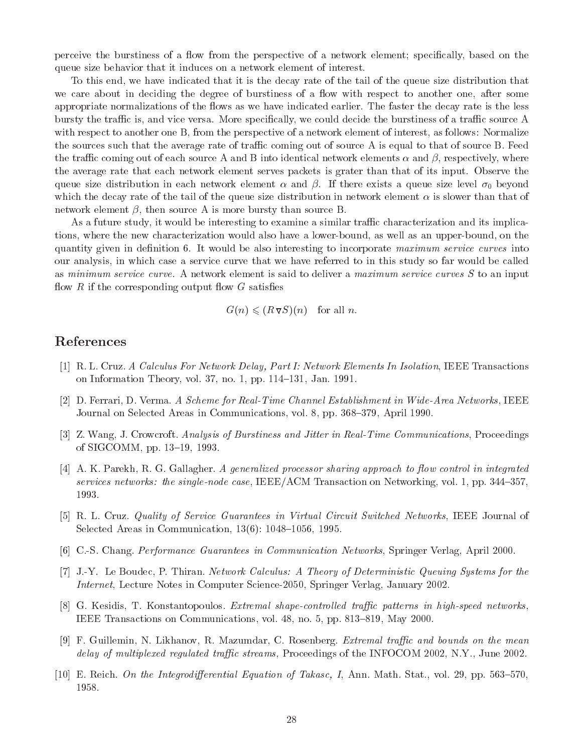perceive the burstiness of a flow from the perspective of a network element; specifically, based on the queue size behavior that it induces on a network element of interest.

To this end, we have indicated that it is the decay rate of the tail of the queue size distribution that we care about in deciding the degree of burstiness of a flow with respect to another one, after some appropriate normalizations of the flows as we have indicated earlier. The faster the decay rate is the less bursty the traffic is, and vice versa. More specifically, we could decide the burstiness of a traffic source A with respect to another one B, from the perspective of a network element of interest, as follows: Normalize the sources such that the average rate of traffic coming out of source A is equal to that of source B. Feed the traffic coming out of each source A and B into identical network elements  $\alpha$  and  $\beta$ , respectively, where the average rate that each network element serves packets is grater than that of its input. Observe the queue size distribution in each network element  $\alpha$  and  $\beta$ . If there exists a queue size level  $\sigma_0$  beyond which the decay rate of the tail of the queue size distribution in network element  $\alpha$  is slower than that of network element  $\beta$ , then source A is more bursty than source B.

As a future study, it would be interesting to examine a similar traffic characterization and its implications, where the new characterization would also have a lower-bound, as well as an upper-bound, on the quantity given in definition 6. It would be also interesting to incorporate maximum service curves into our analysis, in which case a service curve that we have referred to in this study so far would be called as minimum service curve. A network element is said to deliver a maximum service curves S to an input flow  $R$  if the corresponding output flow  $G$  satisfies

$$
G(n) \leqslant (R \triangledown S)(n) \quad \text{for all } n.
$$

# References

- [1] R. L. Cruz. A Calculus For Network Delay, Part I: Network Elements In Isolation, IEEE Transactions on Information Theory, vol. 37, no. 1, pp.  $114-131$ , Jan. 1991.
- [2] D. Ferrari, D. Verma. A Scheme for Real-Time Channel Establishment in Wide-Area Networks, IEEE Journal on Selected Areas in Communications, vol. 8, pp. 368–379, April 1990.
- [3] Z. Wang, J. Crowcroft. Analysis of Burstiness and Jitter in Real-Time Communications, Proceedings of SIGCOMM, pp. 13-19, 1993.
- $[4]$  A. K. Parekh, R. G. Gallagher. A generalized processor sharing approach to flow control in integrated services networks: the single-node case, IEEE/ACM Transaction on Networking, vol. 1, pp.  $344-357$ , 1993.
- [5] R. L. Cruz. *Quality of Service Guarantees in Virtual Circuit Switched Networks*, IEEE Journal of Selected Areas in Communication,  $13(6)$ :  $1048-1056$ , 1995.
- [6] C.-S. Chang. Performance Guarantees in Communication Networks, Springer Verlag, April 2000.
- [7] J.-Y. Le Boudec, P. Thiran. Network Calculus: A Theory of Deterministic Queuing Systems for the Internet, Lecture Notes in Computer Science-2050, Springer Verlag, January 2002.
- [8] G. Kesidis, T. Konstantopoulos. Extremal shape-controlled traffic patterns in high-speed networks, IEEE Transactions on Communications, vol.  $48$ , no.  $5$ , pp.  $813-819$ , May 2000.
- [9] F. Guillemin, N. Likhanov, R. Mazumdar, C. Rosenberg. *Extremal traffic and bounds on the mean* delay of multiplexed regulated traffic streams, Proceedings of the INFOCOM 2002, N.Y., June 2002.
- [10] E. Reich. On the Integrodifferential Equation of Takasc, I, Ann. Math. Stat., vol. 29, pp. 563–570,